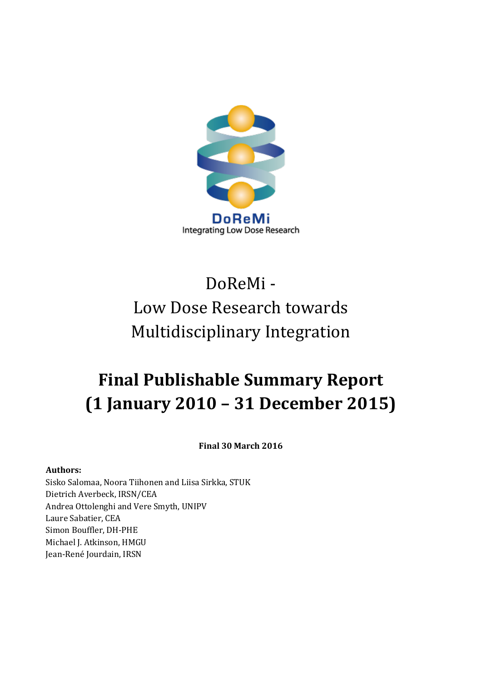

# DoReMi - Low Dose Research towards Multidisciplinary Integration

## **Final Publishable Summary Report (1 January 2010 – 31 December 2015)**

**Final 30 March 2016**

#### **Authors:**

Sisko Salomaa, Noora Tiihonen and Liisa Sirkka, STUK Dietrich Averbeck, IRSN/CEA Andrea Ottolenghi and Vere Smyth, UNIPV Laure Sabatier, CEA Simon Bouffler, DH-PHE Michael J. Atkinson, HMGU Jean-René Jourdain, IRSN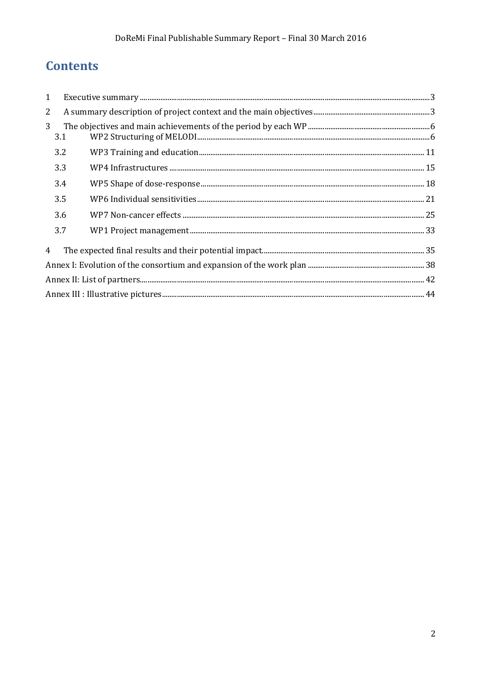## **Contents**

| 1              |     | $\textbf{Execute summary} \textit{} \textit{} \textit{} \textit{} \textit{} \textit{} \textit{} \textit{} \textit{} \textit{} \textit{} \textit{} \textit{} \textit{} \textit{} \textit{} \textit{} \textit{} \textit{} \textit{} \textit{} \textit{} \textit{} \textit{} \textit{} \textit{} \textit{} \textit{} \textit{} \textit{} \textit{} \textit{} \textit{} \textit{} \textit{} \textit$ |  |  |  |  |
|----------------|-----|--------------------------------------------------------------------------------------------------------------------------------------------------------------------------------------------------------------------------------------------------------------------------------------------------------------------------------------------------------------------------------------------------|--|--|--|--|
| $\overline{2}$ |     |                                                                                                                                                                                                                                                                                                                                                                                                  |  |  |  |  |
| 3              | 3.1 |                                                                                                                                                                                                                                                                                                                                                                                                  |  |  |  |  |
|                | 3.2 |                                                                                                                                                                                                                                                                                                                                                                                                  |  |  |  |  |
|                | 3.3 |                                                                                                                                                                                                                                                                                                                                                                                                  |  |  |  |  |
|                | 3.4 |                                                                                                                                                                                                                                                                                                                                                                                                  |  |  |  |  |
|                | 3.5 |                                                                                                                                                                                                                                                                                                                                                                                                  |  |  |  |  |
|                | 3.6 |                                                                                                                                                                                                                                                                                                                                                                                                  |  |  |  |  |
|                | 3.7 |                                                                                                                                                                                                                                                                                                                                                                                                  |  |  |  |  |
| $\overline{4}$ |     |                                                                                                                                                                                                                                                                                                                                                                                                  |  |  |  |  |
|                |     |                                                                                                                                                                                                                                                                                                                                                                                                  |  |  |  |  |
|                |     |                                                                                                                                                                                                                                                                                                                                                                                                  |  |  |  |  |
|                |     |                                                                                                                                                                                                                                                                                                                                                                                                  |  |  |  |  |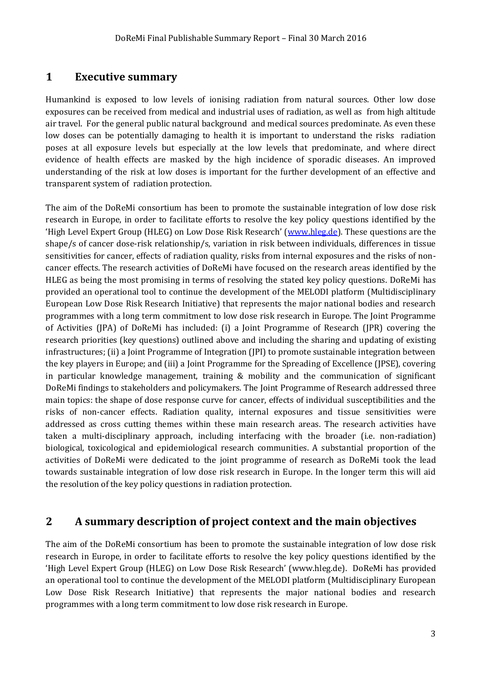#### <span id="page-2-0"></span>**1 Executive summary**

Humankind is exposed to low levels of ionising radiation from natural sources. Other low dose exposures can be received from medical and industrial uses of radiation, as well as from high altitude air travel. For the general public natural background and medical sources predominate. As even these low doses can be potentially damaging to health it is important to understand the risks radiation poses at all exposure levels but especially at the low levels that predominate, and where direct evidence of health effects are masked by the high incidence of sporadic diseases. An improved understanding of the risk at low doses is important for the further development of an effective and transparent system of radiation protection.

The aim of the DoReMi consortium has been to promote the sustainable integration of low dose risk research in Europe, in order to facilitate efforts to resolve the key policy questions identified by the 'High Level Expert Group (HLEG) on Low Dose Risk Research' ([www.hleg.de\)](file:///G:/AppData/Users/wh234853/AppData/Local/Microsoft/Documents%20and%20Settings/simon.Bouffler/simon.Bouffler/Local%20Settings/DOCUME~1/Me/LOCALS~1/Temp/DoReMi/Documents%20and%20Settings/Jacob/Local%20Settings/Temp/www.hleg.de). These questions are the shape/s of cancer dose-risk relationship/s, variation in risk between individuals, differences in tissue sensitivities for cancer, effects of radiation quality, risks from internal exposures and the risks of noncancer effects. The research activities of DoReMi have focused on the research areas identified by the HLEG as being the most promising in terms of resolving the stated key policy questions. DoReMi has provided an operational tool to continue the development of the MELODI platform (Multidisciplinary European Low Dose Risk Research Initiative) that represents the major national bodies and research programmes with a long term commitment to low dose risk research in Europe. The Joint Programme of Activities (JPA) of DoReMi has included: (i) a Joint Programme of Research (JPR) covering the research priorities (key questions) outlined above and including the sharing and updating of existing infrastructures; (ii) a Joint Programme of Integration (JPI) to promote sustainable integration between the key players in Europe; and (iii) a Joint Programme for the Spreading of Excellence (JPSE), covering in particular knowledge management, training & mobility and the communication of significant DoReMi findings to stakeholders and policymakers. The Joint Programme of Research addressed three main topics: the shape of dose response curve for cancer, effects of individual susceptibilities and the risks of non-cancer effects. Radiation quality, internal exposures and tissue sensitivities were addressed as cross cutting themes within these main research areas. The research activities have taken a multi-disciplinary approach, including interfacing with the broader (i.e. non-radiation) biological, toxicological and epidemiological research communities. A substantial proportion of the activities of DoReMi were dedicated to the joint programme of research as DoReMi took the lead towards sustainable integration of low dose risk research in Europe. In the longer term this will aid the resolution of the key policy questions in radiation protection.

#### <span id="page-2-1"></span>**2 A summary description of project context and the main objectives**

The aim of the DoReMi consortium has been to promote the sustainable integration of low dose risk research in Europe, in order to facilitate efforts to resolve the key policy questions identified by the 'High Level Expert Group (HLEG) on Low Dose Risk Research' (www.hleg.de). DoReMi has provided an operational tool to continue the development of the MELODI platform (Multidisciplinary European Low Dose Risk Research Initiative) that represents the major national bodies and research programmes with a long term commitment to low dose risk research in Europe.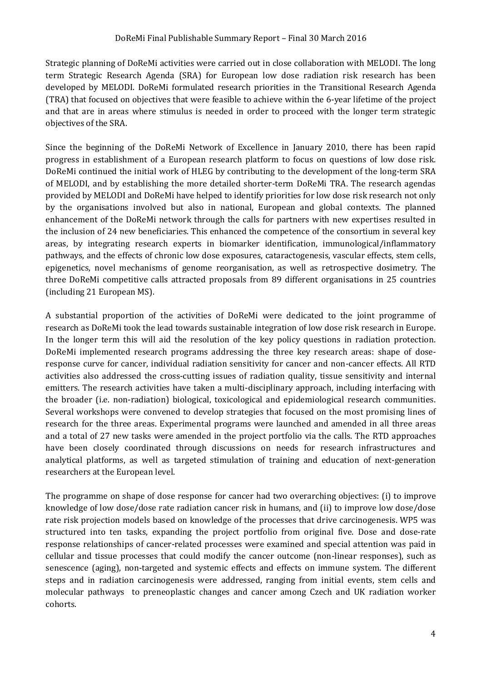Strategic planning of DoReMi activities were carried out in close collaboration with MELODI. The long term Strategic Research Agenda (SRA) for European low dose radiation risk research has been developed by MELODI. DoReMi formulated research priorities in the Transitional Research Agenda (TRA) that focused on objectives that were feasible to achieve within the 6-year lifetime of the project and that are in areas where stimulus is needed in order to proceed with the longer term strategic objectives of the SRA.

Since the beginning of the DoReMi Network of Excellence in January 2010, there has been rapid progress in establishment of a European research platform to focus on questions of low dose risk. DoReMi continued the initial work of HLEG by contributing to the development of the long-term SRA of MELODI, and by establishing the more detailed shorter-term DoReMi TRA. The research agendas provided by MELODI and DoReMi have helped to identify priorities for low dose risk research not only by the organisations involved but also in national, European and global contexts. The planned enhancement of the DoReMi network through the calls for partners with new expertises resulted in the inclusion of 24 new beneficiaries. This enhanced the competence of the consortium in several key areas, by integrating research experts in biomarker identification, immunological/inflammatory pathways, and the effects of chronic low dose exposures, cataractogenesis, vascular effects, stem cells, epigenetics, novel mechanisms of genome reorganisation, as well as retrospective dosimetry. The three DoReMi competitive calls attracted proposals from 89 different organisations in 25 countries (including 21 European MS).

A substantial proportion of the activities of DoReMi were dedicated to the joint programme of research as DoReMi took the lead towards sustainable integration of low dose risk research in Europe. In the longer term this will aid the resolution of the key policy questions in radiation protection. DoReMi implemented research programs addressing the three key research areas: shape of doseresponse curve for cancer, individual radiation sensitivity for cancer and non-cancer effects. All RTD activities also addressed the cross-cutting issues of radiation quality, tissue sensitivity and internal emitters. The research activities have taken a multi-disciplinary approach, including interfacing with the broader (i.e. non-radiation) biological, toxicological and epidemiological research communities. Several workshops were convened to develop strategies that focused on the most promising lines of research for the three areas. Experimental programs were launched and amended in all three areas and a total of 27 new tasks were amended in the project portfolio via the calls. The RTD approaches have been closely coordinated through discussions on needs for research infrastructures and analytical platforms, as well as targeted stimulation of training and education of next-generation researchers at the European level.

The programme on shape of dose response for cancer had two overarching objectives: (i) to improve knowledge of low dose/dose rate radiation cancer risk in humans, and (ii) to improve low dose/dose rate risk projection models based on knowledge of the processes that drive carcinogenesis. WP5 was structured into ten tasks, expanding the project portfolio from original five. Dose and dose-rate response relationships of cancer-related processes were examined and special attention was paid in cellular and tissue processes that could modify the cancer outcome (non-linear responses), such as senescence (aging), non-targeted and systemic effects and effects on immune system. The different steps and in radiation carcinogenesis were addressed, ranging from initial events, stem cells and molecular pathways to preneoplastic changes and cancer among Czech and UK radiation worker cohorts.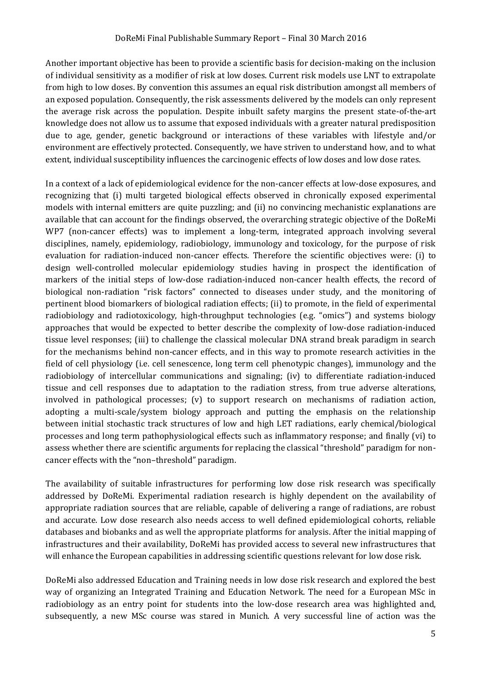Another important objective has been to provide a scientific basis for decision-making on the inclusion of individual sensitivity as a modifier of risk at low doses. Current risk models use LNT to extrapolate from high to low doses. By convention this assumes an equal risk distribution amongst all members of an exposed population. Consequently, the risk assessments delivered by the models can only represent the average risk across the population. Despite inbuilt safety margins the present state-of-the-art knowledge does not allow us to assume that exposed individuals with a greater natural predisposition due to age, gender, genetic background or interactions of these variables with lifestyle and/or environment are effectively protected. Consequently, we have striven to understand how, and to what extent, individual susceptibility influences the carcinogenic effects of low doses and low dose rates.

In a context of a lack of epidemiological evidence for the non-cancer effects at low-dose exposures, and recognizing that (i) multi targeted biological effects observed in chronically exposed experimental models with internal emitters are quite puzzling; and (ii) no convincing mechanistic explanations are available that can account for the findings observed, the overarching strategic objective of the DoReMi WP7 (non-cancer effects) was to implement a long-term, integrated approach involving several disciplines, namely, epidemiology, radiobiology, immunology and toxicology, for the purpose of risk evaluation for radiation-induced non-cancer effects. Therefore the scientific objectives were: (i) to design well-controlled molecular epidemiology studies having in prospect the identification of markers of the initial steps of low-dose radiation-induced non-cancer health effects, the record of biological non-radiation "risk factors" connected to diseases under study, and the monitoring of pertinent blood biomarkers of biological radiation effects; (ii) to promote, in the field of experimental radiobiology and radiotoxicology, high-throughput technologies (e.g. "omics") and systems biology approaches that would be expected to better describe the complexity of low-dose radiation-induced tissue level responses; (iii) to challenge the classical molecular DNA strand break paradigm in search for the mechanisms behind non-cancer effects, and in this way to promote research activities in the field of cell physiology (i.e. cell senescence, long term cell phenotypic changes), immunology and the radiobiology of intercellular communications and signaling; (iv) to differentiate radiation-induced tissue and cell responses due to adaptation to the radiation stress, from true adverse alterations, involved in pathological processes; (v) to support research on mechanisms of radiation action, adopting a multi-scale/system biology approach and putting the emphasis on the relationship between initial stochastic track structures of low and high LET radiations, early chemical/biological processes and long term pathophysiological effects such as inflammatory response; and finally (vi) to assess whether there are scientific arguments for replacing the classical "threshold" paradigm for noncancer effects with the "non–threshold" paradigm.

The availability of suitable infrastructures for performing low dose risk research was specifically addressed by DoReMi. Experimental radiation research is highly dependent on the availability of appropriate radiation sources that are reliable, capable of delivering a range of radiations, are robust and accurate. Low dose research also needs access to well defined epidemiological cohorts, reliable databases and biobanks and as well the appropriate platforms for analysis. After the initial mapping of infrastructures and their availability, DoReMi has provided access to several new infrastructures that will enhance the European capabilities in addressing scientific questions relevant for low dose risk.

DoReMi also addressed Education and Training needs in low dose risk research and explored the best way of organizing an Integrated Training and Education Network. The need for a European MSc in radiobiology as an entry point for students into the low-dose research area was highlighted and, subsequently, a new MSc course was stared in Munich. A very successful line of action was the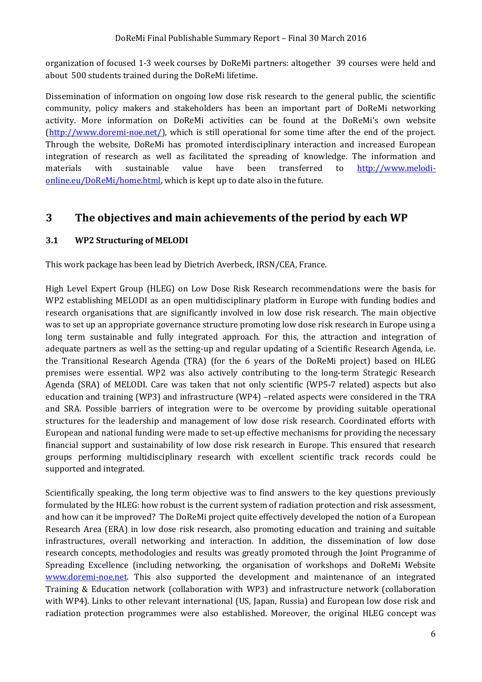organization of focused 1-3 week courses by DoReMi partners: altogether 39 courses were held and about 500 students trained during the DoReMi lifetime.

Dissemination of information on ongoing low dose risk research to the general public, the scientific community, policy makers and stakeholders has been an important part of DoReMi networking activity. More information on DoReMi activities can be found at the DoReMi's own website [\(http://www.doremi-noe.net/\)](http://www.doremi-noe.net/), which is still operational for some time after the end of the project. Through the website, DoReMi has promoted interdisciplinary interaction and increased European integration of research as well as facilitated the spreading of knowledge. The information and materials with sustainable value have been transferred to [http://www.melodi](http://www.melodi-online.eu/DoReMi/home.html)[online.eu/DoReMi/home.html,](http://www.melodi-online.eu/DoReMi/home.html) which is kept up to date also in the future.

### <span id="page-5-0"></span>**3 The objectives and main achievements of the period by each WP**

#### <span id="page-5-1"></span>**3.1 WP2 Structuring of MELODI**

This work package has been lead by Dietrich Averbeck, IRSN/CEA, France.

High Level Expert Group (HLEG) on Low Dose Risk Research recommendations were the basis for WP2 establishing MELODI as an open multidisciplinary platform in Europe with funding bodies and research organisations that are significantly involved in low dose risk research. The main objective was to set up an appropriate governance structure promoting low dose risk research in Europe using a long term sustainable and fully integrated approach. For this, the attraction and integration of adequate partners as well as the setting-up and regular updating of a Scientific Research Agenda, i.e. the Transitional Research Agenda (TRA) (for the 6 years of the DoReMi project) based on HLEG premises were essential. WP2 was also actively contributing to the long-term Strategic Research Agenda (SRA) of MELODI. Care was taken that not only scientific (WP5-7 related) aspects but also education and training (WP3) and infrastructure (WP4) –related aspects were considered in the TRA and SRA. Possible barriers of integration were to be overcome by providing suitable operational structures for the leadership and management of low dose risk research. Coordinated efforts with European and national funding were made to set-up effective mechanisms for providing the necessary financial support and sustainability of low dose risk research in Europe. This ensured that research groups performing multidisciplinary research with excellent scientific track records could be supported and integrated.

Scientifically speaking, the long term objective was to find answers to the key questions previously formulated by the HLEG: how robust is the current system of radiation protection and risk assessment, and how can it be improved? The DoReMi project quite effectively developed the notion of a European Research Area (ERA) in low dose risk research, also promoting education and training and suitable infrastructures, overall networking and interaction. In addition, the dissemination of low dose research concepts, methodologies and results was greatly promoted through the Joint Programme of Spreading Excellence (including networking, the organisation of workshops and DoReMi Website [www.doremi-noe.net.](http://www.doremi-noe.net/) This also supported the development and maintenance of an integrated Training & Education network (collaboration with WP3) and infrastructure network (collaboration with WP4). Links to other relevant international (US, Japan, Russia) and European low dose risk and radiation protection programmes were also established. Moreover, the original HLEG concept was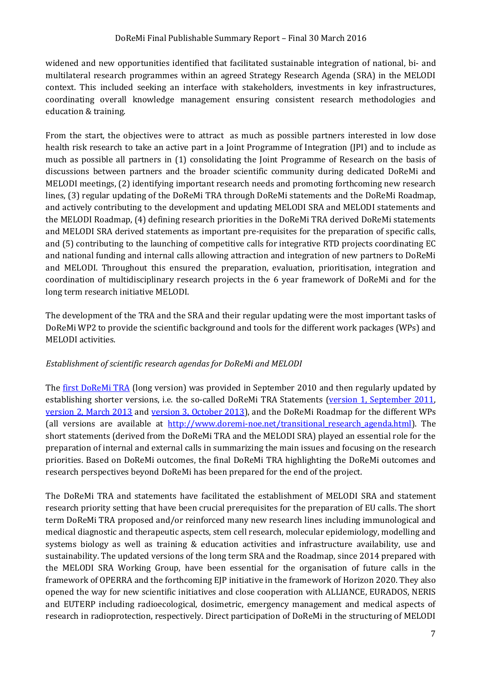widened and new opportunities identified that facilitated sustainable integration of national, bi- and multilateral research programmes within an agreed Strategy Research Agenda (SRA) in the MELODI context. This included seeking an interface with stakeholders, investments in key infrastructures, coordinating overall knowledge management ensuring consistent research methodologies and education & training.

From the start, the objectives were to attract as much as possible partners interested in low dose health risk research to take an active part in a Joint Programme of Integration (JPI) and to include as much as possible all partners in (1) consolidating the Joint Programme of Research on the basis of discussions between partners and the broader scientific community during dedicated DoReMi and MELODI meetings, (2) identifying important research needs and promoting forthcoming new research lines, (3) regular updating of the DoReMi TRA through DoReMi statements and the DoReMi Roadmap, and actively contributing to the development and updating MELODI SRA and MELODI statements and the MELODI Roadmap, (4) defining research priorities in the DoReMi TRA derived DoReMi statements and MELODI SRA derived statements as important pre-requisites for the preparation of specific calls, and (5) contributing to the launching of competitive calls for integrative RTD projects coordinating EC and national funding and internal calls allowing attraction and integration of new partners to DoReMi and MELODI. Throughout this ensured the preparation, evaluation, prioritisation, integration and coordination of multidisciplinary research projects in the 6 year framework of DoReMi and for the long term research initiative MELODI.

The development of the TRA and the SRA and their regular updating were the most important tasks of DoReMi WP2 to provide the scientific background and tools for the different work packages (WPs) and MELODI activities.

#### *Establishment of scientific research agendas for DoReMi and MELODI*

The [first DoReMi TRA](http://www.doremi-noe.net/pdf/doremi_TRA/DoReMi_TRA_publishable_2010-09-20.pdf) (long version) was provided in September 2010 and then regularly updated by establishing shorter versions, i.e. the so-called DoReMi TRA Statements (version 1, September 2011, [version 2, March 2013](http://www.doremi-noe.net/pdf/doremi_TRA/DoReMi_TRA_statement_V2.pdf) and [version 3, October 2013\)](http://www.doremi-noe.net/pdf/doremi_TRA/DoReMi_TRA_statement_V3.pdf), and the DoReMi Roadmap for the different WPs (all versions are available at [http://www.doremi-noe.net/transitional\\_research\\_agenda.html\)](http://www.doremi-noe.net/transitional_research_agenda.html). The short statements (derived from the DoReMi TRA and the MELODI SRA) played an essential role for the preparation of internal and external calls in summarizing the main issues and focusing on the research priorities. Based on DoReMi outcomes, the final DoReMi TRA highlighting the DoReMi outcomes and research perspectives beyond DoReMi has been prepared for the end of the project.

The DoReMi TRA and statements have facilitated the establishment of MELODI SRA and statement research priority setting that have been crucial prerequisites for the preparation of EU calls. The short term DoReMi TRA proposed and/or reinforced many new research lines including immunological and medical diagnostic and therapeutic aspects, stem cell research, molecular epidemiology, modelling and systems biology as well as training & education activities and infrastructure availability, use and sustainability. The updated versions of the long term SRA and the Roadmap, since 2014 prepared with the MELODI SRA Working Group, have been essential for the organisation of future calls in the framework of OPERRA and the forthcoming EJP initiative in the framework of Horizon 2020. They also opened the way for new scientific initiatives and close cooperation with ALLIANCE, EURADOS, NERIS and EUTERP including radioecological, dosimetric, emergency management and medical aspects of research in radioprotection, respectively. Direct participation of DoReMi in the structuring of MELODI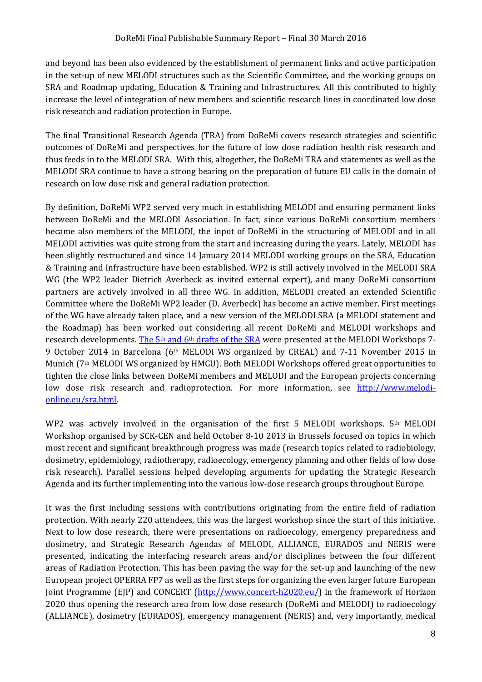and beyond has been also evidenced by the establishment of permanent links and active participation in the set-up of new MELODI structures such as the Scientific Committee, and the working groups on SRA and Roadmap updating, Education & Training and Infrastructures. All this contributed to highly increase the level of integration of new members and scientific research lines in coordinated low dose risk research and radiation protection in Europe.

The final Transitional Research Agenda (TRA) from DoReMi covers research strategies and scientific outcomes of DoReMi and perspectives for the future of low dose radiation health risk research and thus feeds in to the MELODI SRA. With this, altogether, the DoReMi TRA and statements as well as the MELODI SRA continue to have a strong bearing on the preparation of future EU calls in the domain of research on low dose risk and general radiation protection.

By definition, DoReMi WP2 served very much in establishing MELODI and ensuring permanent links between DoReMi and the MELODI Association. In fact, since various DoReMi consortium members became also members of the MELODI, the input of DoReMi in the structuring of MELODI and in all MELODI activities was quite strong from the start and increasing during the years. Lately, MELODI has been slightly restructured and since 14 January 2014 MELODI working groups on the SRA, Education & Training and Infrastructure have been established. WP2 is still actively involved in the MELODI SRA WG (the WP2 leader Dietrich Averbeck as invited external expert), and many DoReMi consortium partners are actively involved in all three WG. In addition, MELODI created an extended Scientific Committee where the DoReMi WP2 leader (D. Averbeck) has become an active member. First meetings of the WG have already taken place, and a new version of the MELODI SRA (a MELODI statement and the Roadmap) has been worked out considering all recent DoReMi and MELODI workshops and research developments. [The 5](http://www.melodi-online.eu/doc/MELODI_SRA_13_June_2014.pdf)<sup>th</sup> and 6<sup>th</sup> drafts of the SRA were presented at the MELODI Workshops 7-9 October 2014 in Barcelona (6th MELODI WS organized by CREAL) and 7-11 November 2015 in Munich (7th MELODI WS organized by HMGU). Both MELODI Workshops offered great opportunities to tighten the close links between DoReMi members and MELODI and the European projects concerning low dose risk research and radioprotection. For more information, see [http://www.melodi](http://www.melodi-online.eu/sra.html)[online.eu/sra.html.](http://www.melodi-online.eu/sra.html)

WP2 was actively involved in the organisation of the first 5 MELODI workshops. 5th MELODI Workshop organised by SCK-CEN and held October 8-10 2013 in Brussels focused on topics in which most recent and significant breakthrough progress was made (research topics related to radiobiology, dosimetry, epidemiology, radiotherapy, radioecology, emergency planning and other fields of low dose risk research). Parallel sessions helped developing arguments for updating the Strategic Research Agenda and its further implementing into the various low-dose research groups throughout Europe.

It was the first including sessions with contributions originating from the entire field of radiation protection. With nearly 220 attendees, this was the largest workshop since the start of this initiative. Next to low dose research, there were presentations on radioecology, emergency preparedness and dosimetry, and Strategic Research Agendas of MELODI, ALLIANCE, EURADOS and NERIS were presented, indicating the interfacing research areas and/or disciplines between the four different areas of Radiation Protection. This has been paving the way for the set-up and launching of the new European project OPERRA FP7 as well as the first steps for organizing the even larger future European Joint Programme (EJP) and CONCERT [\(http://www.concert-h2020.eu/\)](http://www.concert-h2020.eu/) in the framework of Horizon 2020 thus opening the research area from low dose research (DoReMi and MELODI) to radioecology (ALLIANCE), dosimetry (EURADOS), emergency management (NERIS) and, very importantly, medical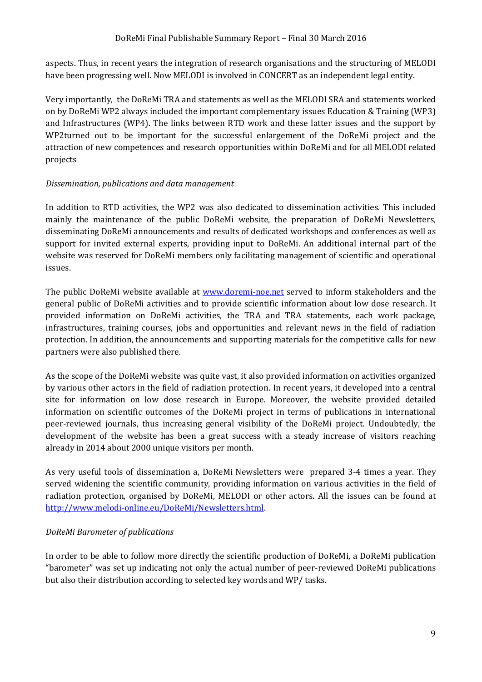aspects. Thus, in recent years the integration of research organisations and the structuring of MELODI have been progressing well. Now MELODI is involved in CONCERT as an independent legal entity.

Very importantly, the DoReMi TRA and statements as well as the MELODI SRA and statements worked on by DoReMi WP2 always included the important complementary issues Education & Training (WP3) and Infrastructures (WP4). The links between RTD work and these latter issues and the support by WP2turned out to be important for the successful enlargement of the DoReMi project and the attraction of new competences and research opportunities within DoReMi and for all MELODI related projects

#### *Dissemination, publications and data management*

In addition to RTD activities, the WP2 was also dedicated to dissemination activities. This included mainly the maintenance of the public DoReMi website, the preparation of DoReMi Newsletters, disseminating DoReMi announcements and results of dedicated workshops and conferences as well as support for invited external experts, providing input to DoReMi. An additional internal part of the website was reserved for DoReMi members only facilitating management of scientific and operational issues.

The public DoReMi website available at [www.doremi-noe.net](http://www.doremi-noe.net/) served to inform stakeholders and the general public of DoReMi activities and to provide scientific information about low dose research. It provided information on DoReMi activities, the TRA and TRA statements, each work package, infrastructures, training courses, jobs and opportunities and relevant news in the field of radiation protection. In addition, the announcements and supporting materials for the competitive calls for new partners were also published there.

As the scope of the DoReMi website was quite vast, it also provided information on activities organized by various other actors in the field of radiation protection. In recent years, it developed into a central site for information on low dose research in Europe. Moreover, the website provided detailed information on scientific outcomes of the DoReMi project in terms of publications in international peer-reviewed journals, thus increasing general visibility of the DoReMi project. Undoubtedly, the development of the website has been a great success with a steady increase of visitors reaching already in 2014 about 2000 unique visitors per month.

As very useful tools of dissemination a, DoReMi Newsletters were prepared 3-4 times a year. They served widening the scientific community, providing information on various activities in the field of radiation protection, organised by DoReMi, MELODI or other actors. All the issues can be found at [http://www.melodi-online.eu/DoReMi/Newsletters.html.](http://www.melodi-online.eu/DoReMi/Newsletters.html)

#### *DoReMi Barometer of publications*

In order to be able to follow more directly the scientific production of DoReMi, a DoReMi publication "barometer" was set up indicating not only the actual number of peer-reviewed DoReMi publications but also their distribution according to selected key words and WP/ tasks.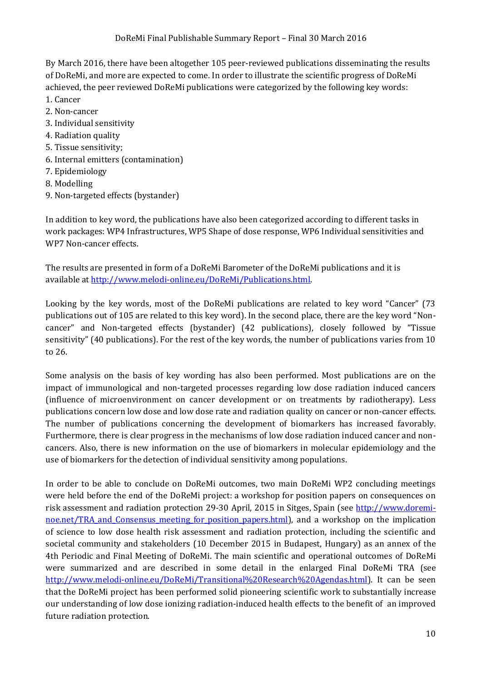By March 2016, there have been altogether 105 peer-reviewed publications disseminating the results of DoReMi, and more are expected to come. In order to illustrate the scientific progress of DoReMi achieved, the peer reviewed DoReMi publications were categorized by the following key words:

- 1. Cancer
- 2. Non-cancer
- 3. Individual sensitivity
- 4. Radiation quality
- 5. Tissue sensitivity;
- 6. Internal emitters (contamination)
- 7. Epidemiology
- 8. Modelling
- 9. Non-targeted effects (bystander)

In addition to key word, the publications have also been categorized according to different tasks in work packages: WP4 Infrastructures, WP5 Shape of dose response, WP6 Individual sensitivities and WP7 Non-cancer effects.

The results are presented in form of a DoReMi Barometer of the DoReMi publications and it is available a[t http://www.melodi-online.eu/DoReMi/Publications.html.](http://www.melodi-online.eu/DoReMi/Publications.html) 

Looking by the key words, most of the DoReMi publications are related to key word "Cancer" (73 publications out of 105 are related to this key word). In the second place, there are the key word "Noncancer" and Non-targeted effects (bystander) (42 publications), closely followed by "Tissue sensitivity" (40 publications). For the rest of the key words, the number of publications varies from 10 to 26.

Some analysis on the basis of key wording has also been performed. Most publications are on the impact of immunological and non-targeted processes regarding low dose radiation induced cancers (influence of microenvironment on cancer development or on treatments by radiotherapy). Less publications concern low dose and low dose rate and radiation quality on cancer or non-cancer effects. The number of publications concerning the development of biomarkers has increased favorably. Furthermore, there is clear progress in the mechanisms of low dose radiation induced cancer and noncancers. Also, there is new information on the use of biomarkers in molecular epidemiology and the use of biomarkers for the detection of individual sensitivity among populations.

In order to be able to conclude on DoReMi outcomes, two main DoReMi WP2 concluding meetings were held before the end of the DoReMi project: a workshop for position papers on consequences on risk assessment and radiation protection 29-30 April, 2015 in Sitges, Spain (see [http://www.doremi](http://www.doremi-noe.net/TRA_and_Consensus_meeting_for_position_papers.html)noe.net/TRA and Consensus meeting for position papers.html), and a workshop on the implication of science to low dose health risk assessment and radiation protection, including the scientific and societal community and stakeholders (10 December 2015 in Budapest, Hungary) as an annex of the 4th Periodic and Final Meeting of DoReMi. The main scientific and operational outcomes of DoReMi were summarized and are described in some detail in the enlarged Final DoReMi TRA (see [http://www.melodi-online.eu/DoReMi/Transitional%20Research%20Agendas.html\)](http://www.melodi-online.eu/DoReMi/Transitional%20Research%20Agendas.html). It can be seen that the DoReMi project has been performed solid pioneering scientific work to substantially increase our understanding of low dose ionizing radiation-induced health effects to the benefit of an improved future radiation protection.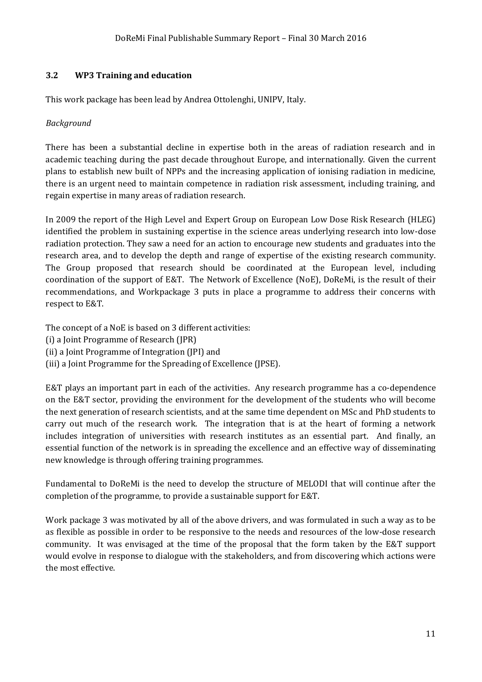#### <span id="page-10-0"></span>**3.2 WP3 Training and education**

This work package has been lead by Andrea Ottolenghi, UNIPV, Italy.

#### *Background*

There has been a substantial decline in expertise both in the areas of radiation research and in academic teaching during the past decade throughout Europe, and internationally. Given the current plans to establish new built of NPPs and the increasing application of ionising radiation in medicine, there is an urgent need to maintain competence in radiation risk assessment, including training, and regain expertise in many areas of radiation research.

In 2009 the report of the High Level and Expert Group on European Low Dose Risk Research (HLEG) identified the problem in sustaining expertise in the science areas underlying research into low-dose radiation protection. They saw a need for an action to encourage new students and graduates into the research area, and to develop the depth and range of expertise of the existing research community. The Group proposed that research should be coordinated at the European level, including coordination of the support of E&T. The Network of Excellence (NoE), DoReMi, is the result of their recommendations, and Workpackage 3 puts in place a programme to address their concerns with respect to E&T.

The concept of a NoE is based on 3 different activities:

- (i) a Joint Programme of Research (JPR)
- (ii) a Joint Programme of Integration (JPI) and
- (iii) a Joint Programme for the Spreading of Excellence (JPSE).

E&T plays an important part in each of the activities. Any research programme has a co-dependence on the E&T sector, providing the environment for the development of the students who will become the next generation of research scientists, and at the same time dependent on MSc and PhD students to carry out much of the research work. The integration that is at the heart of forming a network includes integration of universities with research institutes as an essential part. And finally, an essential function of the network is in spreading the excellence and an effective way of disseminating new knowledge is through offering training programmes.

Fundamental to DoReMi is the need to develop the structure of MELODI that will continue after the completion of the programme, to provide a sustainable support for E&T.

Work package 3 was motivated by all of the above drivers, and was formulated in such a way as to be as flexible as possible in order to be responsive to the needs and resources of the low-dose research community. It was envisaged at the time of the proposal that the form taken by the E&T support would evolve in response to dialogue with the stakeholders, and from discovering which actions were the most effective.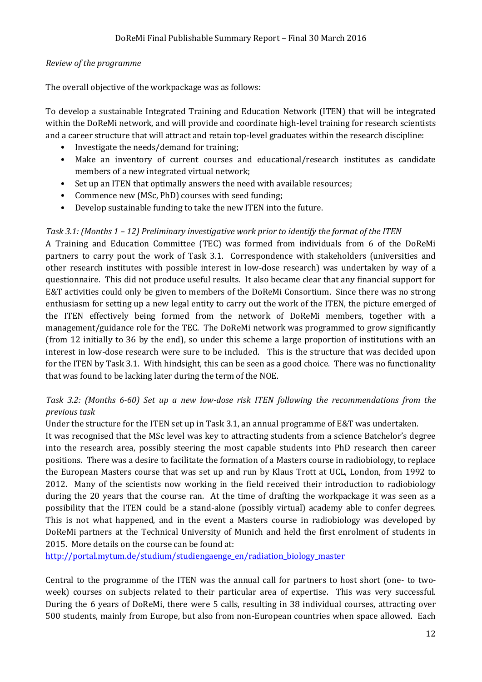#### *Review of the programme*

The overall objective of the workpackage was as follows:

To develop a sustainable Integrated Training and Education Network (ITEN) that will be integrated within the DoReMi network, and will provide and coordinate high-level training for research scientists and a career structure that will attract and retain top-level graduates within the research discipline:

- Investigate the needs/demand for training;
- Make an inventory of current courses and educational/research institutes as candidate members of a new integrated virtual network;
- Set up an ITEN that optimally answers the need with available resources;
- Commence new (MSc, PhD) courses with seed funding;
- Develop sustainable funding to take the new ITEN into the future.

#### *Task 3.1: (Months 1 – 12) Preliminary investigative work prior to identify the format of the ITEN*

A Training and Education Committee (TEC) was formed from individuals from 6 of the DoReMi partners to carry pout the work of Task 3.1. Correspondence with stakeholders (universities and other research institutes with possible interest in low-dose research) was undertaken by way of a questionnaire. This did not produce useful results. It also became clear that any financial support for E&T activities could only be given to members of the DoReMi Consortium. Since there was no strong enthusiasm for setting up a new legal entity to carry out the work of the ITEN, the picture emerged of the ITEN effectively being formed from the network of DoReMi members, together with a management/guidance role for the TEC. The DoReMi network was programmed to grow significantly (from 12 initially to 36 by the end), so under this scheme a large proportion of institutions with an interest in low-dose research were sure to be included. This is the structure that was decided upon for the ITEN by Task 3.1. With hindsight, this can be seen as a good choice. There was no functionality that was found to be lacking later during the term of the NOE.

#### *Task 3.2: (Months 6-60) Set up a new low-dose risk ITEN following the recommendations from the previous task*

Under the structure for the ITEN set up in Task 3.1, an annual programme of E&T was undertaken.

It was recognised that the MSc level was key to attracting students from a science Batchelor's degree into the research area, possibly steering the most capable students into PhD research then career positions. There was a desire to facilitate the formation of a Masters course in radiobiology, to replace the European Masters course that was set up and run by Klaus Trott at UCL, London, from 1992 to 2012. Many of the scientists now working in the field received their introduction to radiobiology during the 20 years that the course ran. At the time of drafting the workpackage it was seen as a possibility that the ITEN could be a stand-alone (possibly virtual) academy able to confer degrees. This is not what happened, and in the event a Masters course in radiobiology was developed by DoReMi partners at the Technical University of Munich and held the first enrolment of students in 2015. More details on the course can be found at:

[http://portal.mytum.de/studium/studiengaenge\\_en/radiation\\_biology\\_master](http://portal.mytum.de/studium/studiengaenge_en/radiation_biology_master)

Central to the programme of the ITEN was the annual call for partners to host short (one- to twoweek) courses on subjects related to their particular area of expertise. This was very successful. During the 6 years of DoReMi, there were 5 calls, resulting in 38 individual courses, attracting over 500 students, mainly from Europe, but also from non-European countries when space allowed. Each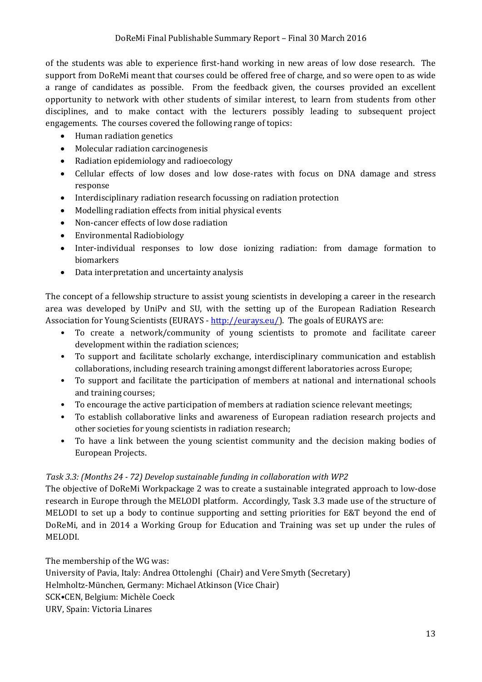of the students was able to experience first-hand working in new areas of low dose research. The support from DoReMi meant that courses could be offered free of charge, and so were open to as wide a range of candidates as possible. From the feedback given, the courses provided an excellent opportunity to network with other students of similar interest, to learn from students from other disciplines, and to make contact with the lecturers possibly leading to subsequent project engagements. The courses covered the following range of topics:

- Human radiation genetics
- Molecular radiation carcinogenesis
- Radiation epidemiology and radioecology
- Cellular effects of low doses and low dose-rates with focus on DNA damage and stress response
- Interdisciplinary radiation research focussing on radiation protection
- Modelling radiation effects from initial physical events
- Non-cancer effects of low dose radiation
- Environmental Radiobiology
- Inter-individual responses to low dose ionizing radiation: from damage formation to biomarkers
- Data interpretation and uncertainty analysis

The concept of a fellowship structure to assist young scientists in developing a career in the research area was developed by UniPv and SU, with the setting up of the European Radiation Research Association for Young Scientists (EURAYS - [http://eurays.eu/\)](http://eurays.eu/). The goals of EURAYS are:

- To create a network/community of young scientists to promote and facilitate career development within the radiation sciences;
- To support and facilitate scholarly exchange, interdisciplinary communication and establish collaborations, including research training amongst different laboratories across Europe;
- To support and facilitate the participation of members at national and international schools and training courses;
- To encourage the active participation of members at radiation science relevant meetings;
- To establish collaborative links and awareness of European radiation research projects and other societies for young scientists in radiation research;
- To have a link between the young scientist community and the decision making bodies of European Projects.

#### *Task 3.3: (Months 24 - 72) Develop sustainable funding in collaboration with WP2*

The objective of DoReMi Workpackage 2 was to create a sustainable integrated approach to low-dose research in Europe through the MELODI platform. Accordingly, Task 3.3 made use of the structure of MELODI to set up a body to continue supporting and setting priorities for E&T beyond the end of DoReMi, and in 2014 a Working Group for Education and Training was set up under the rules of MELODI.

The membership of the WG was:

University of Pavia, Italy: Andrea Ottolenghi (Chair) and Vere Smyth (Secretary) Helmholtz-München, Germany: Michael Atkinson (Vice Chair) SCK•CEN, Belgium: Michèle Coeck URV, Spain: Victoria Linares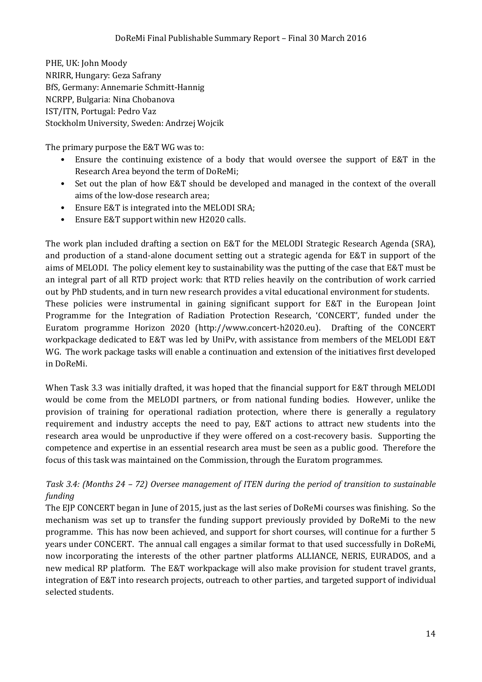PHE, UK: John Moody NRIRR, Hungary: Geza Safrany BfS, Germany: Annemarie Schmitt-Hannig NCRPP, Bulgaria: Nina Chobanova IST/ITN, Portugal: Pedro Vaz Stockholm University, Sweden: Andrzej Wojcik

The primary purpose the E&T WG was to:

- Ensure the continuing existence of a body that would oversee the support of E&T in the Research Area beyond the term of DoReMi;
- Set out the plan of how E&T should be developed and managed in the context of the overall aims of the low-dose research area;
- Ensure E&T is integrated into the MELODI SRA;
- Ensure E&T support within new H2020 calls.

The work plan included drafting a section on E&T for the MELODI Strategic Research Agenda (SRA), and production of a stand-alone document setting out a strategic agenda for E&T in support of the aims of MELODI. The policy element key to sustainability was the putting of the case that E&T must be an integral part of all RTD project work: that RTD relies heavily on the contribution of work carried out by PhD students, and in turn new research provides a vital educational environment for students. These policies were instrumental in gaining significant support for E&T in the European Joint Programme for the Integration of Radiation Protection Research, 'CONCERT', funded under the Euratom programme Horizon 2020 (http://www.concert-h2020.eu). Drafting of the CONCERT workpackage dedicated to E&T was led by UniPv, with assistance from members of the MELODI E&T WG. The work package tasks will enable a continuation and extension of the initiatives first developed in DoReMi.

When Task 3.3 was initially drafted, it was hoped that the financial support for E&T through MELODI would be come from the MELODI partners, or from national funding bodies. However, unlike the provision of training for operational radiation protection, where there is generally a regulatory requirement and industry accepts the need to pay, E&T actions to attract new students into the research area would be unproductive if they were offered on a cost-recovery basis. Supporting the competence and expertise in an essential research area must be seen as a public good. Therefore the focus of this task was maintained on the Commission, through the Euratom programmes.

#### *Task 3.4: (Months 24 – 72) Oversee management of ITEN during the period of transition to sustainable funding*

The EJP CONCERT began in June of 2015, just as the last series of DoReMi courses was finishing. So the mechanism was set up to transfer the funding support previously provided by DoReMi to the new programme. This has now been achieved, and support for short courses, will continue for a further 5 years under CONCERT. The annual call engages a similar format to that used successfully in DoReMi, now incorporating the interests of the other partner platforms ALLIANCE, NERIS, EURADOS, and a new medical RP platform. The E&T workpackage will also make provision for student travel grants, integration of E&T into research projects, outreach to other parties, and targeted support of individual selected students.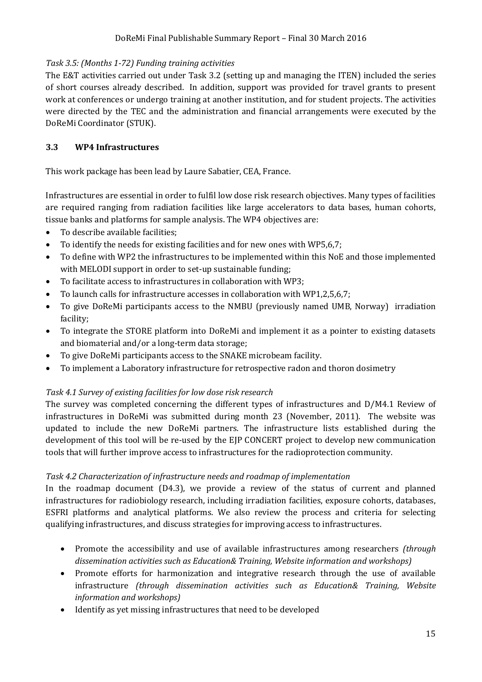#### *Task 3.5: (Months 1-72) Funding training activities*

The E&T activities carried out under Task 3.2 (setting up and managing the ITEN) included the series of short courses already described. In addition, support was provided for travel grants to present work at conferences or undergo training at another institution, and for student projects. The activities were directed by the TEC and the administration and financial arrangements were executed by the DoReMi Coordinator (STUK).

#### <span id="page-14-0"></span>**3.3 WP4 Infrastructures**

This work package has been lead by Laure Sabatier, CEA, France.

Infrastructures are essential in order to fulfil low dose risk research objectives. Many types of facilities are required ranging from radiation facilities like large accelerators to data bases, human cohorts, tissue banks and platforms for sample analysis. The WP4 objectives are:

- To describe available facilities;
- To identify the needs for existing facilities and for new ones with WP5,6,7;
- To define with WP2 the infrastructures to be implemented within this NoE and those implemented with MELODI support in order to set-up sustainable funding;
- To facilitate access to infrastructures in collaboration with WP3;
- To launch calls for infrastructure accesses in collaboration with WP1,2,5,6,7;
- To give DoReMi participants access to the NMBU (previously named UMB, Norway) irradiation facility;
- To integrate the STORE platform into DoReMi and implement it as a pointer to existing datasets and biomaterial and/or a long-term data storage;
- To give DoReMi participants access to the SNAKE microbeam facility.
- To implement a Laboratory infrastructure for retrospective radon and thoron dosimetry

#### *Task 4.1 Survey of existing facilities for low dose risk research*

The survey was completed concerning the different types of infrastructures and D/M4.1 Review of infrastructures in DoReMi was submitted during month 23 (November, 2011). The website was updated to include the new DoReMi partners. The infrastructure lists established during the development of this tool will be re-used by the EJP CONCERT project to develop new communication tools that will further improve access to infrastructures for the radioprotection community.

#### *Task 4.2 Characterization of infrastructure needs and roadmap of implementation*

In the roadmap document (D4.3), we provide a review of the status of current and planned infrastructures for radiobiology research, including irradiation facilities, exposure cohorts, databases, ESFRI platforms and analytical platforms. We also review the process and criteria for selecting qualifying infrastructures, and discuss strategies for improving access to infrastructures.

- Promote the accessibility and use of available infrastructures among researchers *(through dissemination activities such as Education& Training, Website information and workshops)*
- Promote efforts for harmonization and integrative research through the use of available infrastructure *(through dissemination activities such as Education& Training, Website information and workshops)*
- Identify as yet missing infrastructures that need to be developed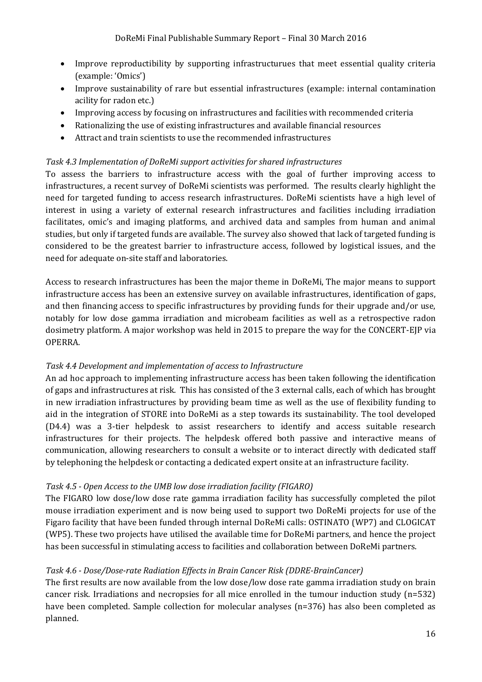- Improve reproductibility by supporting infrastructurues that meet essential quality criteria (example: 'Omics')
- Improve sustainability of rare but essential infrastructures (example: internal contamination acility for radon etc.)
- Improving access by focusing on infrastructures and facilities with recommended criteria
- Rationalizing the use of existing infrastructures and available financial resources
- Attract and train scientists to use the recommended infrastructures

#### *Task 4.3 Implementation of DoReMi support activities for shared infrastructures*

To assess the barriers to infrastructure access with the goal of further improving access to infrastructures, a recent survey of DoReMi scientists was performed. The results clearly highlight the need for targeted funding to access research infrastructures. DoReMi scientists have a high level of interest in using a variety of external research infrastructures and facilities including irradiation facilitates, omic's and imaging platforms, and archived data and samples from human and animal studies, but only if targeted funds are available. The survey also showed that lack of targeted funding is considered to be the greatest barrier to infrastructure access, followed by logistical issues, and the need for adequate on-site staff and laboratories.

Access to research infrastructures has been the major theme in DoReMi, The major means to support infrastructure access has been an extensive survey on available infrastructures, identification of gaps, and then financing access to specific infrastructures by providing funds for their upgrade and/or use, notably for low dose gamma irradiation and microbeam facilities as well as a retrospective radon dosimetry platform. A major workshop was held in 2015 to prepare the way for the CONCERT-EJP via OPERRA.

#### *Task 4.4 Development and implementation of access to Infrastructure*

An ad hoc approach to implementing infrastructure access has been taken following the identification of gaps and infrastructures at risk. This has consisted of the 3 external calls, each of which has brought in new irradiation infrastructures by providing beam time as well as the use of flexibility funding to aid in the integration of STORE into DoReMi as a step towards its sustainability. The tool developed (D4.4) was a 3-tier helpdesk to assist researchers to identify and access suitable research infrastructures for their projects. The helpdesk offered both passive and interactive means of communication, allowing researchers to consult a website or to interact directly with dedicated staff by telephoning the helpdesk or contacting a dedicated expert onsite at an infrastructure facility.

#### *Task 4.5 - Open Access to the UMB low dose irradiation facility (FIGARO)*

The FIGARO low dose/low dose rate gamma irradiation facility has successfully completed the pilot mouse irradiation experiment and is now being used to support two DoReMi projects for use of the Figaro facility that have been funded through internal DoReMi calls: OSTINATO (WP7) and CLOGICAT (WP5). These two projects have utilised the available time for DoReMi partners, and hence the project has been successful in stimulating access to facilities and collaboration between DoReMi partners.

#### *Task 4.6 - Dose/Dose-rate Radiation Effects in Brain Cancer Risk (DDRE-BrainCancer)*

The first results are now available from the low dose/low dose rate gamma irradiation study on brain cancer risk. Irradiations and necropsies for all mice enrolled in the tumour induction study (n=532) have been completed. Sample collection for molecular analyses (n=376) has also been completed as planned.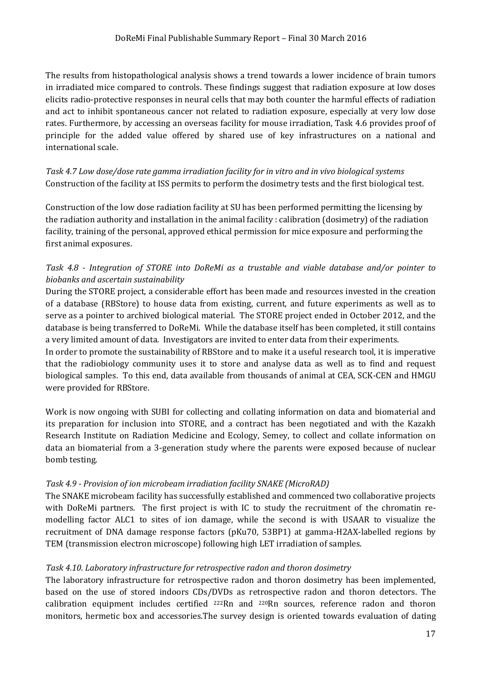The results from histopathological analysis shows a trend towards a lower incidence of brain tumors in irradiated mice compared to controls. These findings suggest that radiation exposure at low doses elicits radio-protective responses in neural cells that may both counter the harmful effects of radiation and act to inhibit spontaneous cancer not related to radiation exposure, especially at very low dose rates. Furthermore, by accessing an overseas facility for mouse irradiation, Task 4.6 provides proof of principle for the added value offered by shared use of key infrastructures on a national and international scale.

*Task 4.7 Low dose/dose rate gamma irradiation facility for in vitro and in vivo biological systems*  Construction of the facility at ISS permits to perform the dosimetry tests and the first biological test.

Construction of the low dose radiation facility at SU has been performed permitting the licensing by the radiation authority and installation in the animal facility : calibration (dosimetry) of the radiation facility, training of the personal, approved ethical permission for mice exposure and performing the first animal exposures.

#### *Task 4.8 - Integration of STORE into DoReMi as a trustable and viable database and/or pointer to biobanks and ascertain sustainability*

During the STORE project, a considerable effort has been made and resources invested in the creation of a database (RBStore) to house data from existing, current, and future experiments as well as to serve as a pointer to archived biological material. The STORE project ended in October 2012, and the database is being transferred to DoReMi. While the database itself has been completed, it still contains a very limited amount of data. Investigators are invited to enter data from their experiments.

In order to promote the sustainability of RBStore and to make it a useful research tool, it is imperative that the radiobiology community uses it to store and analyse data as well as to find and request biological samples. To this end, data available from thousands of animal at CEA, SCK-CEN and HMGU were provided for RBStore.

Work is now ongoing with SUBI for collecting and collating information on data and biomaterial and its preparation for inclusion into STORE, and a contract has been negotiated and with the Kazakh Research Institute on Radiation Medicine and Ecology, Semey, to collect and collate information on data an biomaterial from a 3-generation study where the parents were exposed because of nuclear bomb testing.

#### *Task 4.9 - Provision of ion microbeam irradiation facility SNAKE (MicroRAD)*

The SNAKE microbeam facility has successfully established and commenced two collaborative projects with DoReMi partners. The first project is with IC to study the recruitment of the chromatin remodelling factor ALC1 to sites of ion damage, while the second is with USAAR to visualize the recruitment of DNA damage response factors (pKu70, 53BP1) at gamma-H2AX-labelled regions by TEM (transmission electron microscope) following high LET irradiation of samples.

#### *Task 4.10. Laboratory infrastructure for retrospective radon and thoron dosimetry*

The laboratory infrastructure for retrospective radon and thoron dosimetry has been implemented, based on the use of stored indoors CDs/DVDs as retrospective radon and thoron detectors. The calibration equipment includes certified  $222Rn$  and  $220Rn$  sources, reference radon and thoron monitors, hermetic box and accessories.The survey design is oriented towards evaluation of dating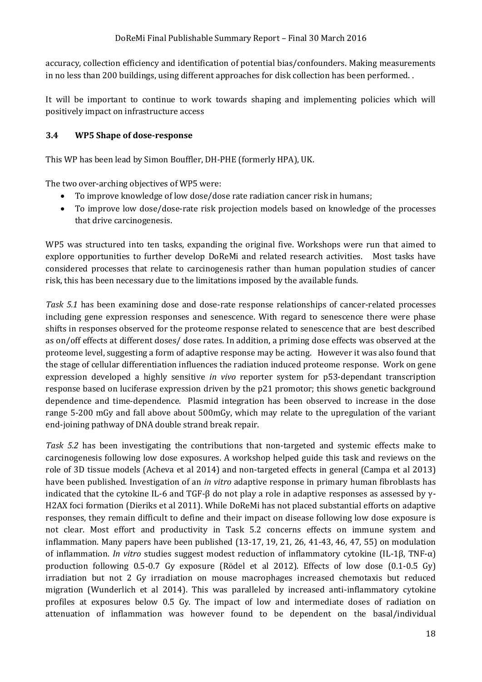accuracy, collection efficiency and identification of potential bias/confounders. Making measurements in no less than 200 buildings, using different approaches for disk collection has been performed. .

It will be important to continue to work towards shaping and implementing policies which will positively impact on infrastructure access

#### <span id="page-17-0"></span>**3.4 WP5 Shape of dose-response**

This WP has been lead by Simon Bouffler, DH-PHE (formerly HPA), UK.

The two over-arching objectives of WP5 were:

- To improve knowledge of low dose/dose rate radiation cancer risk in humans;
- To improve low dose/dose-rate risk projection models based on knowledge of the processes that drive carcinogenesis.

WP5 was structured into ten tasks, expanding the original five. Workshops were run that aimed to explore opportunities to further develop DoReMi and related research activities. Most tasks have considered processes that relate to carcinogenesis rather than human population studies of cancer risk, this has been necessary due to the limitations imposed by the available funds.

*Task 5.1* has been examining dose and dose-rate response relationships of cancer-related processes including gene expression responses and senescence. With regard to senescence there were phase shifts in responses observed for the proteome response related to senescence that are best described as on/off effects at different doses/ dose rates. In addition, a priming dose effects was observed at the proteome level, suggesting a form of adaptive response may be acting. However it was also found that the stage of cellular differentiation influences the radiation induced proteome response. Work on gene expression developed a highly sensitive *in vivo* reporter system for p53-dependant transcription response based on luciferase expression driven by the p21 promotor; this shows genetic background dependence and time-dependence. Plasmid integration has been observed to increase in the dose range 5-200 mGy and fall above about 500mGy, which may relate to the upregulation of the variant end-joining pathway of DNA double strand break repair.

*Task 5.2* has been investigating the contributions that non-targeted and systemic effects make to carcinogenesis following low dose exposures. A workshop helped guide this task and reviews on the role of 3D tissue models (Acheva et al 2014) and non-targeted effects in general (Campa et al 2013) have been published. Investigation of an *in vitro* adaptive response in primary human fibroblasts has indicated that the cytokine IL-6 and TGF- $\beta$  do not play a role in adaptive responses as assessed by  $\gamma$ -H2AX foci formation (Dieriks et al 2011). While DoReMi has not placed substantial efforts on adaptive responses, they remain difficult to define and their impact on disease following low dose exposure is not clear. Most effort and productivity in Task 5.2 concerns effects on immune system and inflammation. Many papers have been published (13-17, 19, 21, 26, 41-43, 46, 47, 55) on modulation of inflammation. *In vitro* studies suggest modest reduction of inflammatory cytokine (IL-1β, TNF-α) production following 0.5-0.7 Gy exposure (Rӧdel et al 2012). Effects of low dose (0.1-0.5 Gy) irradiation but not 2 Gy irradiation on mouse macrophages increased chemotaxis but reduced migration (Wunderlich et al 2014). This was paralleled by increased anti-inflammatory cytokine profiles at exposures below 0.5 Gy. The impact of low and intermediate doses of radiation on attenuation of inflammation was however found to be dependent on the basal/individual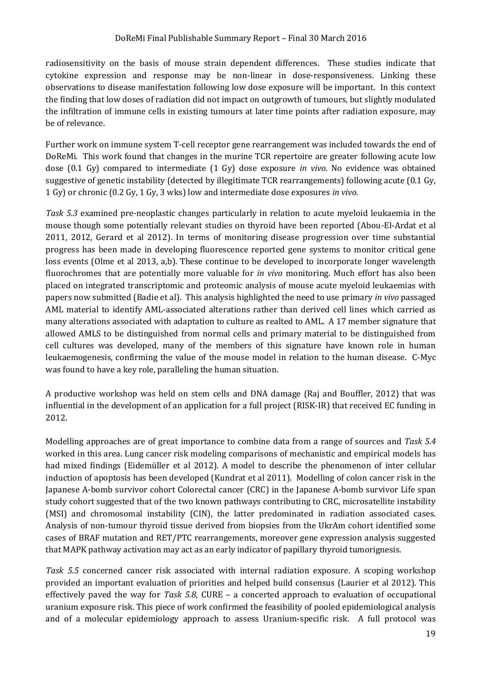radiosensitivity on the basis of mouse strain dependent differences. These studies indicate that cytokine expression and response may be non-linear in dose-responsiveness. Linking these observations to disease manifestation following low dose exposure will be important. In this context the finding that low doses of radiation did not impact on outgrowth of tumours, but slightly modulated the infiltration of immune cells in existing tumours at later time points after radiation exposure, may be of relevance.

Further work on immune system T-cell receptor gene rearrangement was included towards the end of DoReMi. This work found that changes in the murine TCR repertoire are greater following acute low dose (0.1 Gy) compared to intermediate (1 Gy) dose exposure *in vivo*. No evidence was obtained suggestive of genetic instability (detected by illegitimate TCR rearrangements) following acute (0.1 Gy, 1 Gy) or chronic (0.2 Gy, 1 Gy, 3 wks) low and intermediate dose exposures *in vivo.*

*Task 5.3* examined pre-neoplastic changes particularly in relation to acute myeloid leukaemia in the mouse though some potentially relevant studies on thyroid have been reported (Abou-El-Ardat et al 2011, 2012, Gerard et al 2012). In terms of monitoring disease progression over time substantial progress has been made in developing fluorescence reported gene systems to monitor critical gene loss events (Olme et al 2013, a,b). These continue to be developed to incorporate longer wavelength fluorochromes that are potentially more valuable for *in vivo* monitoring. Much effort has also been placed on integrated transcriptomic and proteomic analysis of mouse acute myeloid leukaemias with papers now submitted (Badie et al). This analysis highlighted the need to use primary *in vivo* passaged AML material to identify AML-associated alterations rather than derived cell lines which carried as many alterations associated with adaptation to culture as realted to AML. A 17 member signature that allowed AMLS to be distinguished from normal cells and primary material to be distinguished from cell cultures was developed, many of the members of this signature have known role in human leukaemogenesis, confirming the value of the mouse model in relation to the human disease. C-Myc was found to have a key role, paralleling the human situation.

A productive workshop was held on stem cells and DNA damage (Raj and Bouffler, 2012) that was influential in the development of an application for a full project (RISK-IR) that received EC funding in 2012.

Modelling approaches are of great importance to combine data from a range of sources and *Task 5.4* worked in this area. Lung cancer risk modeling comparisons of mechanistic and empirical models has had mixed findings (Eidemüller et al 2012). A model to describe the phenomenon of inter cellular induction of apoptosis has been developed (Kundrat et al 2011). Modelling of colon cancer risk in the Japanese A-bomb survivor cohort Colorectal cancer (CRC) in the Japanese A-bomb survivor Life span study cohort suggested that of the two known pathways contributing to CRC, microsatellite instability (MSI) and chromosomal instability (CIN), the latter predominated in radiation associated cases. Analysis of non-tumour thyroid tissue derived from biopsies from the UkrAm cohort identified some cases of BRAF mutation and RET/PTC rearrangements, moreover gene expression analysis suggested that MAPK pathway activation may act as an early indicator of papillary thyroid tumorignesis.

*Task 5.5* concerned cancer risk associated with internal radiation exposure. A scoping workshop provided an important evaluation of priorities and helped build consensus (Laurier et al 2012). This effectively paved the way for *Task 5.8*, CURE – a concerted approach to evaluation of occupational uranium exposure risk. This piece of work confirmed the feasibility of pooled epidemiological analysis and of a molecular epidemiology approach to assess Uranium-specific risk. A full protocol was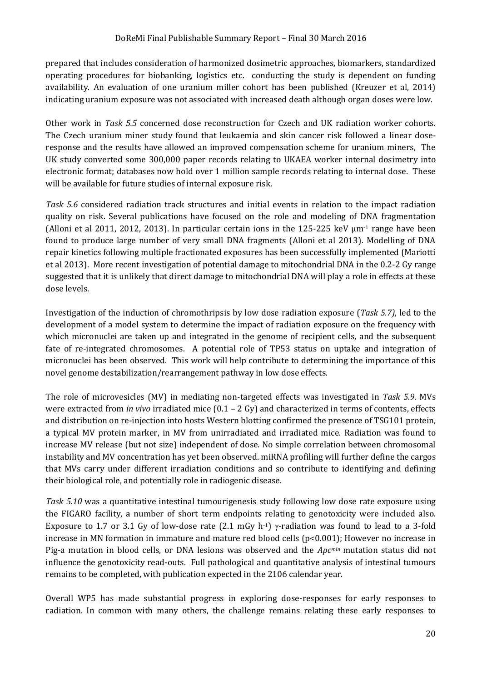prepared that includes consideration of harmonized dosimetric approaches, biomarkers, standardized operating procedures for biobanking, logistics etc. conducting the study is dependent on funding availability. An evaluation of one uranium miller cohort has been published (Kreuzer et al, 2014) indicating uranium exposure was not associated with increased death although organ doses were low.

Other work in *Task 5.5* concerned dose reconstruction for Czech and UK radiation worker cohorts. The Czech uranium miner study found that leukaemia and skin cancer risk followed a linear doseresponse and the results have allowed an improved compensation scheme for uranium miners, The UK study converted some 300,000 paper records relating to UKAEA worker internal dosimetry into electronic format; databases now hold over 1 million sample records relating to internal dose. These will be available for future studies of internal exposure risk.

*Task 5.6* considered radiation track structures and initial events in relation to the impact radiation quality on risk. Several publications have focused on the role and modeling of DNA fragmentation (Alloni et al 2011, 2012, 2013). In particular certain ions in the 125-225 keV  $\mu$ m<sup>-1</sup> range have been found to produce large number of very small DNA fragments (Alloni et al 2013). Modelling of DNA repair kinetics following multiple fractionated exposures has been successfully implemented (Mariotti et al 2013). More recent investigation of potential damage to mitochondrial DNA in the 0.2-2 Gy range suggested that it is unlikely that direct damage to mitochondrial DNA will play a role in effects at these dose levels.

Investigation of the induction of chromothripsis by low dose radiation exposure (*Task 5.7)*, led to the development of a model system to determine the impact of radiation exposure on the frequency with which micronuclei are taken up and integrated in the genome of recipient cells, and the subsequent fate of re-integrated chromosomes. A potential role of TP53 status on uptake and integration of micronuclei has been observed. This work will help contribute to determining the importance of this novel genome destabilization/rearrangement pathway in low dose effects.

The role of microvesicles (MV) in mediating non-targeted effects was investigated in *Task 5.9*. MVs were extracted from *in vivo* irradiated mice (0.1 – 2 Gy) and characterized in terms of contents, effects and distribution on re-injection into hosts Western blotting confirmed the presence of TSG101 protein, a typical MV protein marker, in MV from unirradiated and irradiated mice. Radiation was found to increase MV release (but not size) independent of dose. No simple correlation between chromosomal instability and MV concentration has yet been observed. miRNA profiling will further define the cargos that MVs carry under different irradiation conditions and so contribute to identifying and defining their biological role, and potentially role in radiogenic disease.

*Task 5.10* was a quantitative intestinal tumourigenesis study following low dose rate exposure using the FIGARO facility, a number of short term endpoints relating to genotoxicity were included also. Exposure to 1.7 or 3.1 Gy of low-dose rate (2.1 mGy h-1)  $\gamma$ -radiation was found to lead to a 3-fold increase in MN formation in immature and mature red blood cells (p<0.001); However no increase in Pig-a mutation in blood cells, or DNA lesions was observed and the *Apcmin* mutation status did not influence the genotoxicity read-outs. Full pathological and quantitative analysis of intestinal tumours remains to be completed, with publication expected in the 2106 calendar year.

Overall WP5 has made substantial progress in exploring dose-responses for early responses to radiation. In common with many others, the challenge remains relating these early responses to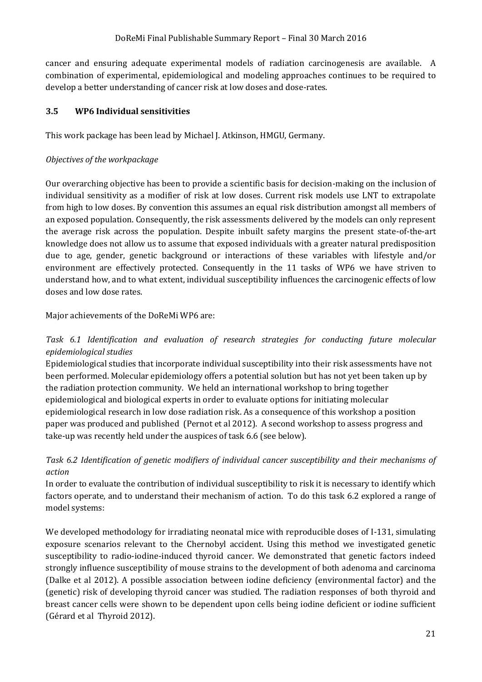cancer and ensuring adequate experimental models of radiation carcinogenesis are available. A combination of experimental, epidemiological and modeling approaches continues to be required to develop a better understanding of cancer risk at low doses and dose-rates.

#### <span id="page-20-0"></span>**3.5 WP6 Individual sensitivities**

This work package has been lead by Michael J. Atkinson, HMGU, Germany.

#### *Objectives of the workpackage*

Our overarching objective has been to provide a scientific basis for decision-making on the inclusion of individual sensitivity as a modifier of risk at low doses. Current risk models use LNT to extrapolate from high to low doses. By convention this assumes an equal risk distribution amongst all members of an exposed population. Consequently, the risk assessments delivered by the models can only represent the average risk across the population. Despite inbuilt safety margins the present state-of-the-art knowledge does not allow us to assume that exposed individuals with a greater natural predisposition due to age, gender, genetic background or interactions of these variables with lifestyle and/or environment are effectively protected. Consequently in the 11 tasks of WP6 we have striven to understand how, and to what extent, individual susceptibility influences the carcinogenic effects of low doses and low dose rates.

#### Major achievements of the DoReMi WP6 are:

#### *Task 6.1 Identification and evaluation of research strategies for conducting future molecular epidemiological studies*

Epidemiological studies that incorporate individual susceptibility into their risk assessments have not been performed. Molecular epidemiology offers a potential solution but has not yet been taken up by the radiation protection community. We held an international workshop to bring together epidemiological and biological experts in order to evaluate options for initiating molecular epidemiological research in low dose radiation risk. As a consequence of this workshop a position paper was produced and published (Pernot et al 2012). A second workshop to assess progress and take-up was recently held under the auspices of task 6.6 (see below).

#### *Task 6.2 Identification of genetic modifiers of individual cancer susceptibility and their mechanisms of action*

In order to evaluate the contribution of individual susceptibility to risk it is necessary to identify which factors operate, and to understand their mechanism of action. To do this task 6.2 explored a range of model systems:

We developed methodology for irradiating neonatal mice with reproducible doses of I-131, simulating exposure scenarios relevant to the Chernobyl accident. Using this method we investigated genetic susceptibility to radio-iodine-induced thyroid cancer. We demonstrated that genetic factors indeed strongly influence susceptibility of mouse strains to the development of both adenoma and carcinoma (Dalke et al 2012). A possible association between iodine deficiency (environmental factor) and the (genetic) risk of developing thyroid cancer was studied. The radiation responses of both thyroid and breast cancer cells were shown to be dependent upon cells being iodine deficient or iodine sufficient (Gérard et al Thyroid 2012).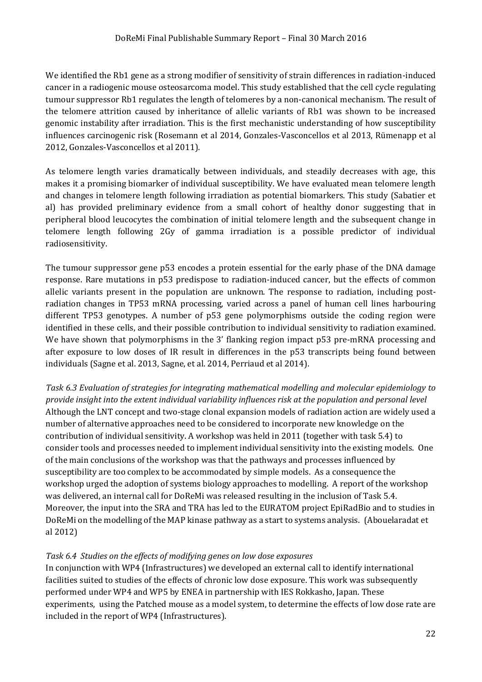We identified the Rb1 gene as a strong modifier of sensitivity of strain differences in radiation-induced cancer in a radiogenic mouse osteosarcoma model. This study established that the cell cycle regulating tumour suppressor Rb1 regulates the length of telomeres by a non-canonical mechanism. The result of the telomere attrition caused by inheritance of allelic variants of Rb1 was shown to be increased genomic instability after irradiation. This is the first mechanistic understanding of how susceptibility influences carcinogenic risk (Rosemann et al 2014, Gonzales-Vasconcellos et al 2013, Rümenapp et al 2012, Gonzales-Vasconcellos et al 2011).

As telomere length varies dramatically between individuals, and steadily decreases with age, this makes it a promising biomarker of individual susceptibility. We have evaluated mean telomere length and changes in telomere length following irradiation as potential biomarkers. This study (Sabatier et al) has provided preliminary evidence from a small cohort of healthy donor suggesting that in peripheral blood leucocytes the combination of initial telomere length and the subsequent change in telomere length following 2Gy of gamma irradiation is a possible predictor of individual radiosensitivity.

The tumour suppressor gene p53 encodes a protein essential for the early phase of the DNA damage response. Rare mutations in p53 predispose to radiation-induced cancer, but the effects of common allelic variants present in the population are unknown. The response to radiation, including postradiation changes in TP53 mRNA processing, varied across a panel of human cell lines harbouring different TP53 genotypes. A number of p53 gene polymorphisms outside the coding region were identified in these cells, and their possible contribution to individual sensitivity to radiation examined. We have shown that polymorphisms in the 3' flanking region impact p53 pre-mRNA processing and after exposure to low doses of IR result in differences in the p53 transcripts being found between individuals (Sagne et al. 2013, Sagne, et al. 2014, Perriaud et al 2014).

*Task 6.3 Evaluation of strategies for integrating mathematical modelling and molecular epidemiology to provide insight into the extent individual variability influences risk at the population and personal level* Although the LNT concept and two-stage clonal expansion models of radiation action are widely used a number of alternative approaches need to be considered to incorporate new knowledge on the contribution of individual sensitivity. A workshop was held in 2011 (together with task 5.4) to consider tools and processes needed to implement individual sensitivity into the existing models. One of the main conclusions of the workshop was that the pathways and processes influenced by susceptibility are too complex to be accommodated by simple models. As a consequence the workshop urged the adoption of systems biology approaches to modelling. A report of the workshop was delivered, an internal call for DoReMi was released resulting in the inclusion of Task 5.4. Moreover, the input into the SRA and TRA has led to the EURATOM project EpiRadBio and to studies in DoReMi on the modelling of the MAP kinase pathway as a start to systems analysis. (Abouelaradat et al 2012)

#### *Task 6.4 Studies on the effects of modifying genes on low dose exposures*

In conjunction with WP4 (Infrastructures) we developed an external call to identify international facilities suited to studies of the effects of chronic low dose exposure. This work was subsequently performed under WP4 and WP5 by ENEA in partnership with IES Rokkasho, Japan. These experiments, using the Patched mouse as a model system, to determine the effects of low dose rate are included in the report of WP4 (Infrastructures).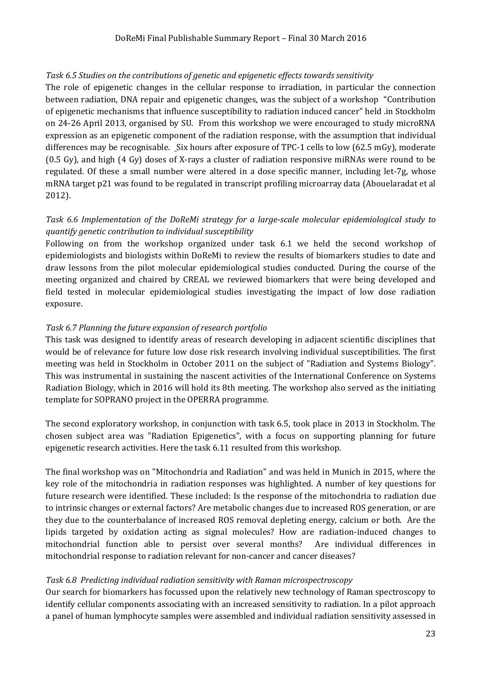#### *Task 6.5 Studies on the contributions of genetic and epigenetic effects towards sensitivity*

The role of epigenetic changes in the cellular response to irradiation, in particular the connection between radiation, DNA repair and epigenetic changes, was the subject of a workshop "Contribution of epigenetic mechanisms that influence susceptibility to radiation induced cancer" held .in Stockholm on 24-26 April 2013, organised by SU. From this workshop we were encouraged to study microRNA expression as an epigenetic component of the radiation response, with the assumption that individual differences may be recognisable. Six hours after exposure of TPC-1 cells to low (62.5 mGy), moderate (0.5 Gy), and high (4 Gy) doses of X-rays a cluster of radiation responsive miRNAs were round to be regulated. Of these a small number were altered in a dose specific manner, including let-7g, whose mRNA target p21 was found to be regulated in transcript profiling microarray data (Abouelaradat et al 2012).

#### *Task 6.6 Implementation of the DoReMi strategy for a large-scale molecular epidemiological study to quantify genetic contribution to individual susceptibility*

Following on from the workshop organized under task 6.1 we held the second workshop of epidemiologists and biologists within DoReMi to review the results of biomarkers studies to date and draw lessons from the pilot molecular epidemiological studies conducted. During the course of the meeting organized and chaired by CREAL we reviewed biomarkers that were being developed and field tested in molecular epidemiological studies investigating the impact of low dose radiation exposure.

#### *Task 6.7 Planning the future expansion of research portfolio*

This task was designed to identify areas of research developing in adjacent scientific disciplines that would be of relevance for future low dose risk research involving individual susceptibilities. The first meeting was held in Stockholm in October 2011 on the subject of "Radiation and Systems Biology". This was instrumental in sustaining the nascent activities of the International Conference on Systems Radiation Biology, which in 2016 will hold its 8th meeting. The workshop also served as the initiating template for SOPRANO project in the OPERRA programme.

The second exploratory workshop, in conjunction with task 6.5, took place in 2013 in Stockholm. The chosen subject area was "Radiation Epigenetics", with a focus on supporting planning for future epigenetic research activities. Here the task 6.11 resulted from this workshop.

The final workshop was on "Mitochondria and Radiation" and was held in Munich in 2015, where the key role of the mitochondria in radiation responses was highlighted. A number of key questions for future research were identified. These included: Is the response of the mitochondria to radiation due to intrinsic changes or external factors? Are metabolic changes due to increased ROS generation, or are they due to the counterbalance of increased ROS removal depleting energy, calcium or both. Are the lipids targeted by oxidation acting as signal molecules? How are radiation-induced changes to mitochondrial function able to persist over several months? Are individual differences in mitochondrial response to radiation relevant for non-cancer and cancer diseases?

#### *Task 6.8 Predicting individual radiation sensitivity with Raman microspectroscopy*

Our search for biomarkers has focussed upon the relatively new technology of Raman spectroscopy to identify cellular components associating with an increased sensitivity to radiation. In a pilot approach a panel of human lymphocyte samples were assembled and individual radiation sensitivity assessed in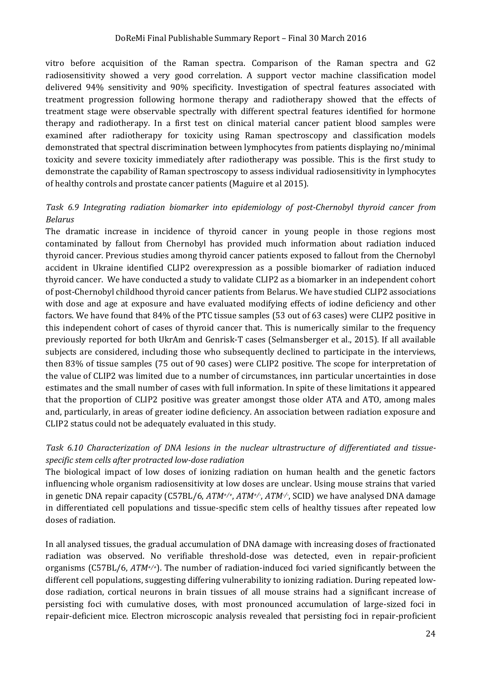vitro before acquisition of the Raman spectra. Comparison of the Raman spectra and G2 radiosensitivity showed a very good correlation. A support vector machine classification model delivered 94% sensitivity and 90% specificity. Investigation of spectral features associated with treatment progression following hormone therapy and radiotherapy showed that the effects of treatment stage were observable spectrally with different spectral features identified for hormone therapy and radiotherapy. In a first test on clinical material cancer patient blood samples were examined after radiotherapy for toxicity using Raman spectroscopy and classification models demonstrated that spectral discrimination between lymphocytes from patients displaying no/minimal toxicity and severe toxicity immediately after radiotherapy was possible. This is the first study to demonstrate the capability of Raman spectroscopy to assess individual radiosensitivity in lymphocytes of healthy controls and prostate cancer patients (Maguire et al 2015).

#### *Task 6.9 Integrating radiation biomarker into epidemiology of post-Chernobyl thyroid cancer from Belarus*

The dramatic increase in incidence of thyroid cancer in young people in those regions most contaminated by fallout from Chernobyl has provided much information about radiation induced thyroid cancer. Previous studies among thyroid cancer patients exposed to fallout from the Chernobyl accident in Ukraine identified CLIP2 overexpression as a possible biomarker of radiation induced thyroid cancer. We have conducted a study to validate CLIP2 as a biomarker in an independent cohort of post-Chernobyl childhood thyroid cancer patients from Belarus. We have studied CLIP2 associations with dose and age at exposure and have evaluated modifying effects of iodine deficiency and other factors. We have found that 84% of the PTC tissue samples (53 out of 63 cases) were CLIP2 positive in this independent cohort of cases of thyroid cancer that. This is numerically similar to the frequency previously reported for both UkrAm and Genrisk-T cases (Selmansberger et al., 2015). If all available subjects are considered, including those who subsequently declined to participate in the interviews, then 83% of tissue samples (75 out of 90 cases) were CLIP2 positive. The scope for interpretation of the value of CLIP2 was limited due to a number of circumstances, inn particular uncertainties in dose estimates and the small number of cases with full information. In spite of these limitations it appeared that the proportion of CLIP2 positive was greater amongst those older ATA and ATO, among males and, particularly, in areas of greater iodine deficiency. An association between radiation exposure and CLIP2 status could not be adequately evaluated in this study.

#### *Task 6.10 Characterization of DNA lesions in the nuclear ultrastructure of differentiated and tissuespecific stem cells after protracted low-dose radiation*

The biological impact of low doses of ionizing radiation on human health and the genetic factors influencing whole organism radiosensitivity at low doses are unclear. Using mouse strains that varied in genetic DNA repair capacity (C57BL/6, *ATM+/+*, *ATM+/-* , *ATM-/-* , SCID) we have analysed DNA damage in differentiated cell populations and tissue-specific stem cells of healthy tissues after repeated low doses of radiation.

In all analysed tissues, the gradual accumulation of DNA damage with increasing doses of fractionated radiation was observed. No verifiable threshold-dose was detected, even in repair-proficient organisms (C57BL/6, *ATM+/+*). The number of radiation-induced foci varied significantly between the different cell populations, suggesting differing vulnerability to ionizing radiation. During repeated lowdose radiation, cortical neurons in brain tissues of all mouse strains had a significant increase of persisting foci with cumulative doses, with most pronounced accumulation of large-sized foci in repair-deficient mice. Electron microscopic analysis revealed that persisting foci in repair-proficient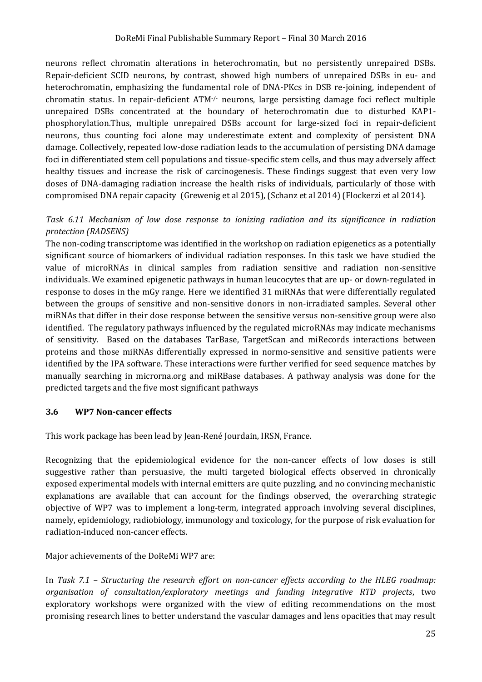neurons reflect chromatin alterations in heterochromatin, but no persistently unrepaired DSBs. Repair-deficient SCID neurons, by contrast, showed high numbers of unrepaired DSBs in eu- and heterochromatin, emphasizing the fundamental role of DNA-PKcs in DSB re-joining, independent of chromatin status. In repair-deficient ATM-/- neurons, large persisting damage foci reflect multiple unrepaired DSBs concentrated at the boundary of heterochromatin due to disturbed KAP1 phosphorylation.Thus, multiple unrepaired DSBs account for large-sized foci in repair-deficient neurons, thus counting foci alone may underestimate extent and complexity of persistent DNA damage. Collectively, repeated low-dose radiation leads to the accumulation of persisting DNA damage foci in differentiated stem cell populations and tissue-specific stem cells, and thus may adversely affect healthy tissues and increase the risk of carcinogenesis. These findings suggest that even very low doses of DNA-damaging radiation increase the health risks of individuals, particularly of those with compromised DNA repair capacity (Grewenig et al 2015), (Schanz et al 2014) (Flockerzi et al 2014).

#### *Task 6.11 Mechanism of low dose response to ionizing radiation and its significance in radiation protection (RADSENS)*

The non-coding transcriptome was identified in the workshop on radiation epigenetics as a potentially significant source of biomarkers of individual radiation responses. In this task we have studied the value of microRNAs in clinical samples from radiation sensitive and radiation non-sensitive individuals. We examined epigenetic pathways in human leucocytes that are up- or down-regulated in response to doses in the mGy range. Here we identified 31 miRNAs that were differentially regulated between the groups of sensitive and non-sensitive donors in non-irradiated samples. Several other miRNAs that differ in their dose response between the sensitive versus non-sensitive group were also identified. The regulatory pathways influenced by the regulated microRNAs may indicate mechanisms of sensitivity. Based on the databases TarBase, TargetScan and miRecords interactions between proteins and those miRNAs differentially expressed in normo-sensitive and sensitive patients were identified by the IPA software. These interactions were further verified for seed sequence matches by manually searching in microrna.org and miRBase databases. A pathway analysis was done for the predicted targets and the five most significant pathways

#### <span id="page-24-0"></span>**3.6 WP7 Non-cancer effects**

This work package has been lead by Jean-René Jourdain, IRSN, France.

Recognizing that the epidemiological evidence for the non-cancer effects of low doses is still suggestive rather than persuasive, the multi targeted biological effects observed in chronically exposed experimental models with internal emitters are quite puzzling, and no convincing mechanistic explanations are available that can account for the findings observed, the overarching strategic objective of WP7 was to implement a long-term, integrated approach involving several disciplines, namely, epidemiology, radiobiology, immunology and toxicology, for the purpose of risk evaluation for radiation-induced non-cancer effects.

Major achievements of the DoReMi WP7 are:

In *Task 7.1 – Structuring the research effort on non-cancer effects according to the HLEG roadmap: organisation of consultation/exploratory meetings and funding integrative RTD projects*, two exploratory workshops were organized with the view of editing recommendations on the most promising research lines to better understand the vascular damages and lens opacities that may result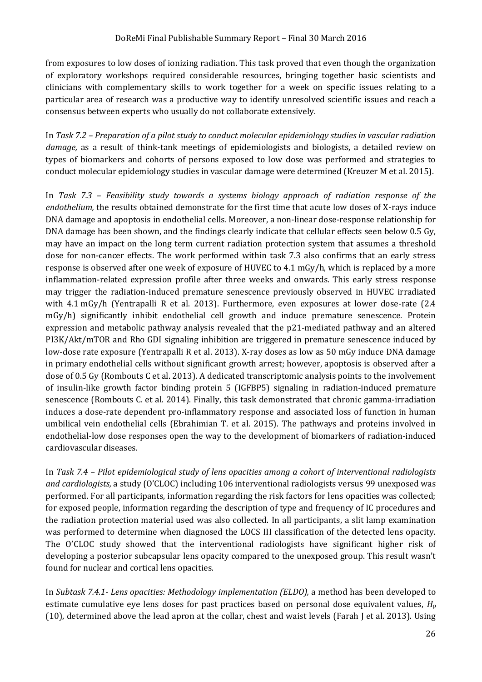from exposures to low doses of ionizing radiation. This task proved that even though the organization of exploratory workshops required considerable resources, bringing together basic scientists and clinicians with complementary skills to work together for a week on specific issues relating to a particular area of research was a productive way to identify unresolved scientific issues and reach a consensus between experts who usually do not collaborate extensively.

In *Task 7.2 – Preparation of a pilot study to conduct molecular epidemiology studies in vascular radiation damage,* as a result of think-tank meetings of epidemiologists and biologists, a detailed review on types of biomarkers and cohorts of persons exposed to low dose was performed and strategies to conduct molecular epidemiology studies in vascular damage were determined (Kreuzer M et al. 2015).

In *Task 7.3 – Feasibility study towards a systems biology approach of radiation response of the endothelium,* the results obtained demonstrate for the first time that acute low doses of X-rays induce DNA damage and apoptosis in endothelial cells. Moreover, a non-linear dose-response relationship for DNA damage has been shown, and the findings clearly indicate that cellular effects seen below 0.5 Gy, may have an impact on the long term current radiation protection system that assumes a threshold dose for non-cancer effects. The work performed within task 7.3 also confirms that an early stress response is observed after one week of exposure of HUVEC to 4.1 mGy/h, which is replaced by a more inflammation-related expression profile after three weeks and onwards. This early stress response may trigger the radiation-induced premature senescence previously observed in HUVEC irradiated with 4.1 mGy/h (Yentrapalli R et al. 2013). Furthermore, even exposures at lower dose-rate (2.4 mGy/h) significantly inhibit endothelial cell growth and induce premature senescence. Protein expression and metabolic pathway analysis revealed that the p21-mediated pathway and an altered PI3K/Akt/mTOR and Rho GDI signaling inhibition are triggered in premature senescence induced by low-dose rate exposure (Yentrapalli R et al. 2013). X-ray doses as low as 50 mGy induce DNA damage in primary endothelial cells without significant growth arrest; however, apoptosis is observed after a dose of 0.5 Gy (Rombouts C et al. 2013). A dedicated transcriptomic analysis points to the involvement of insulin-like growth factor binding protein 5 (IGFBP5) signaling in radiation-induced premature senescence (Rombouts C. et al. 2014). Finally, this task demonstrated that chronic gamma-irradiation induces a dose-rate dependent pro-inflammatory response and associated loss of function in human umbilical vein endothelial cells (Ebrahimian T. et al. 2015). The pathways and proteins involved in endothelial-low dose responses open the way to the development of biomarkers of radiation-induced cardiovascular diseases.

In *Task 7.4 – Pilot epidemiological study of lens opacities among a cohort of interventional radiologists and cardiologists,* a study (O'CLOC) including 106 interventional radiologists versus 99 unexposed was performed. For all participants, information regarding the risk factors for lens opacities was collected; for exposed people, information regarding the description of type and frequency of IC procedures and the radiation protection material used was also collected. In all participants, a slit lamp examination was performed to determine when diagnosed the LOCS III classification of the detected lens opacity. The O'CLOC study showed that the interventional radiologists have significant higher risk of developing a posterior subcapsular lens opacity compared to the unexposed group. This result wasn't found for nuclear and cortical lens opacities.

In *Subtask 7.4.1- Lens opacities: Methodology implementation (ELDO),* a method has been developed to estimate cumulative eye lens doses for past practices based on personal dose equivalent values, *H*<sup>p</sup> (10), determined above the lead apron at the collar, chest and waist levels (Farah J et al. 2013). Using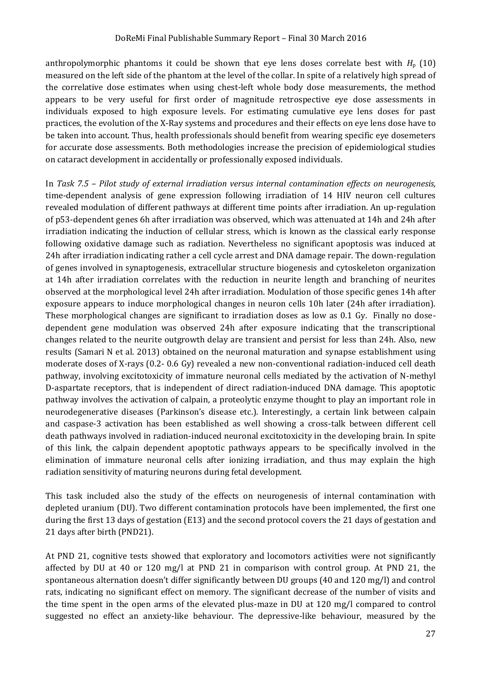anthropolymorphic phantoms it could be shown that eye lens doses correlate best with  $H_p$  (10) measured on the left side of the phantom at the level of the collar. In spite of a relatively high spread of the correlative dose estimates when using chest-left whole body dose measurements, the method appears to be very useful for first order of magnitude retrospective eye dose assessments in individuals exposed to high exposure levels. For estimating cumulative eye lens doses for past practices, the evolution of the X-Ray systems and procedures and their effects on eye lens dose have to be taken into account. Thus, health professionals should benefit from wearing specific eye dosemeters for accurate dose assessments. Both methodologies increase the precision of epidemiological studies on cataract development in accidentally or professionally exposed individuals.

In *Task 7.5 – Pilot study of external irradiation versus internal contamination effects on neurogenesis,*  time-dependent analysis of gene expression following irradiation of 14 HIV neuron cell cultures revealed modulation of different pathways at different time points after irradiation. An up-regulation of p53-dependent genes 6h after irradiation was observed, which was attenuated at 14h and 24h after irradiation indicating the induction of cellular stress, which is known as the classical early response following oxidative damage such as radiation. Nevertheless no significant apoptosis was induced at 24h after irradiation indicating rather a cell cycle arrest and DNA damage repair. The down-regulation of genes involved in synaptogenesis, extracellular structure biogenesis and cytoskeleton organization at 14h after irradiation correlates with the reduction in neurite length and branching of neurites observed at the morphological level 24h after irradiation. Modulation of those specific genes 14h after exposure appears to induce morphological changes in neuron cells 10h later (24h after irradiation). These morphological changes are significant to irradiation doses as low as 0.1 Gy. Finally no dosedependent gene modulation was observed 24h after exposure indicating that the transcriptional changes related to the neurite outgrowth delay are transient and persist for less than 24h. Also, new results (Samari N et al. 2013) obtained on the neuronal maturation and synapse establishment using moderate doses of X-rays (0.2- 0.6 Gy) revealed a new non-conventional radiation-induced cell death pathway, involving excitotoxicity of immature neuronal cells mediated by the activation of N-methyl D-aspartate receptors, that is independent of direct radiation-induced DNA damage. This apoptotic pathway involves the activation of calpain, a proteolytic enzyme thought to play an important role in neurodegenerative diseases (Parkinson's disease etc.). Interestingly, a certain link between calpain and caspase-3 activation has been established as well showing a cross-talk between different cell death pathways involved in radiation-induced neuronal excitotoxicity in the developing brain. In spite of this link, the calpain dependent apoptotic pathways appears to be specifically involved in the elimination of immature neuronal cells after ionizing irradiation, and thus may explain the high radiation sensitivity of maturing neurons during fetal development.

This task included also the study of the effects on neurogenesis of internal contamination with depleted uranium (DU). Two different contamination protocols have been implemented, the first one during the first 13 days of gestation (E13) and the second protocol covers the 21 days of gestation and 21 days after birth (PND21).

At PND 21, cognitive tests showed that exploratory and locomotors activities were not significantly affected by DU at 40 or 120 mg/l at PND 21 in comparison with control group. At PND 21, the spontaneous alternation doesn't differ significantly between DU groups (40 and 120 mg/l) and control rats, indicating no significant effect on memory. The significant decrease of the number of visits and the time spent in the open arms of the elevated plus-maze in DU at 120 mg/l compared to control suggested no effect an anxiety-like behaviour. The depressive-like behaviour, measured by the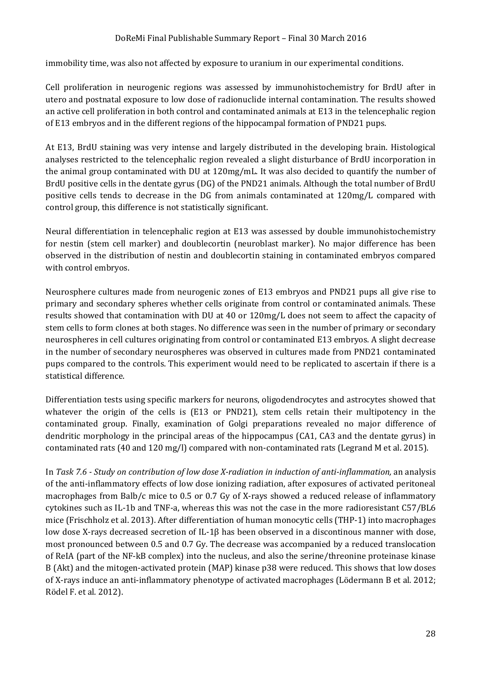immobility time, was also not affected by exposure to uranium in our experimental conditions.

Cell proliferation in neurogenic regions was assessed by immunohistochemistry for BrdU after in utero and postnatal exposure to low dose of radionuclide internal contamination. The results showed an active cell proliferation in both control and contaminated animals at E13 in the telencephalic region of E13 embryos and in the different regions of the hippocampal formation of PND21 pups.

At E13, BrdU staining was very intense and largely distributed in the developing brain. Histological analyses restricted to the telencephalic region revealed a slight disturbance of BrdU incorporation in the animal group contaminated with DU at 120mg/mL. It was also decided to quantify the number of BrdU positive cells in the dentate gyrus (DG) of the PND21 animals. Although the total number of BrdU positive cells tends to decrease in the DG from animals contaminated at 120mg/L compared with control group, this difference is not statistically significant.

Neural differentiation in telencephalic region at E13 was assessed by double immunohistochemistry for nestin (stem cell marker) and doublecortin (neuroblast marker). No major difference has been observed in the distribution of nestin and doublecortin staining in contaminated embryos compared with control embryos.

Neurosphere cultures made from neurogenic zones of E13 embryos and PND21 pups all give rise to primary and secondary spheres whether cells originate from control or contaminated animals. These results showed that contamination with DU at 40 or 120mg/L does not seem to affect the capacity of stem cells to form clones at both stages. No difference was seen in the number of primary or secondary neurospheres in cell cultures originating from control or contaminated E13 embryos. A slight decrease in the number of secondary neurospheres was observed in cultures made from PND21 contaminated pups compared to the controls. This experiment would need to be replicated to ascertain if there is a statistical difference.

Differentiation tests using specific markers for neurons, oligodendrocytes and astrocytes showed that whatever the origin of the cells is (E13 or PND21), stem cells retain their multipotency in the contaminated group. Finally, examination of Golgi preparations revealed no major difference of dendritic morphology in the principal areas of the hippocampus (CA1, CA3 and the dentate gyrus) in contaminated rats (40 and 120 mg/l) compared with non-contaminated rats (Legrand M et al. 2015).

In *Task 7.6 - Study on contribution of low dose X-radiation in induction of anti-inflammation,* an analysis of the anti-inflammatory effects of low dose ionizing radiation, after exposures of activated peritoneal macrophages from Balb/c mice to 0.5 or 0.7 Gy of X-rays showed a reduced release of inflammatory cytokines such as IL-1b and TNF-a, whereas this was not the case in the more radioresistant C57/BL6 mice (Frischholz et al. 2013). After differentiation of human monocytic cells (THP-1) into macrophages low dose X-rays decreased secretion of IL-1β has been observed in a discontinous manner with dose, most pronounced between 0.5 and 0.7 Gy. The decrease was accompanied by a reduced translocation of ReIA (part of the NF-kB complex) into the nucleus, and also the serine/threonine proteinase kinase B (Akt) and the mitogen-activated protein (MAP) kinase p38 were reduced. This shows that low doses of X-rays induce an anti-inflammatory phenotype of activated macrophages (Lödermann B et al. 2012; Rödel F. et al. 2012).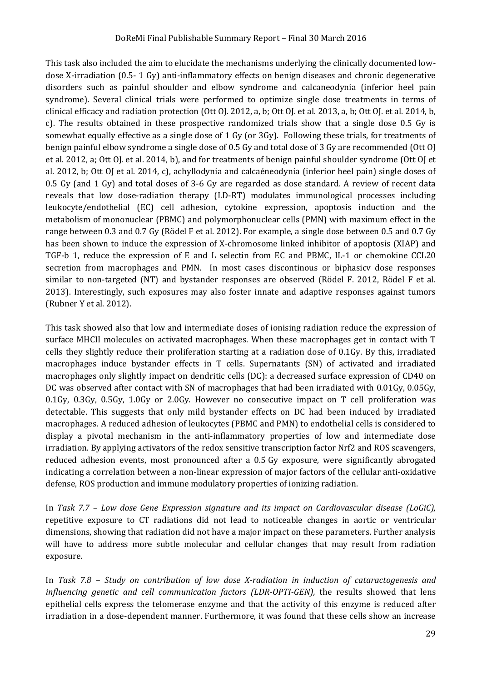This task also included the aim to elucidate the mechanisms underlying the clinically documented lowdose X-irradiation (0.5- 1 Gy) anti-inflammatory effects on benign diseases and chronic degenerative disorders such as painful shoulder and elbow syndrome and calcaneodynia (inferior heel pain syndrome). Several clinical trials were performed to optimize single dose treatments in terms of clinical efficacy and radiation protection (Ott OJ. 2012, a, b; Ott OJ. et al. 2013, a, b; Ott OJ. et al. 2014, b, c). The results obtained in these prospective randomized trials show that a single dose 0.5 Gy is somewhat equally effective as a single dose of 1 Gy (or 3Gy). Following these trials, for treatments of benign painful elbow syndrome a single dose of 0.5 Gy and total dose of 3 Gy are recommended (Ott OJ et al. 2012, a; Ott OJ. et al. 2014, b), and for treatments of benign painful shoulder syndrome (Ott OJ et al. 2012, b; Ott OJ et al. 2014, c), achyllodynia and calcaéneodynia (inferior heel pain) single doses of 0.5 Gy (and 1 Gy) and total doses of 3-6 Gy are regarded as dose standard. A review of recent data reveals that low dose-radiation therapy (LD-RT) modulates immunological processes including leukocyte/endothelial (EC) cell adhesion, cytokine expression, apoptosis induction and the metabolism of mononuclear (PBMC) and polymorphonuclear cells (PMN) with maximum effect in the range between 0.3 and 0.7 Gy (Rödel F et al. 2012). For example, a single dose between 0.5 and 0.7 Gy has been shown to induce the expression of X-chromosome linked inhibitor of apoptosis (XIAP) and TGF-b 1, reduce the expression of E and L selectin from EC and PBMC, IL-1 or chemokine CCL20 secretion from macrophages and PMN. In most cases discontinous or biphasicv dose responses similar to non-targeted (NT) and bystander responses are observed (Rödel F. 2012, Rödel F et al. 2013). Interestingly, such exposures may also foster innate and adaptive responses against tumors (Rubner Y et al. 2012).

This task showed also that low and intermediate doses of ionising radiation reduce the expression of surface MHCII molecules on activated macrophages. When these macrophages get in contact with T cells they slightly reduce their proliferation starting at a radiation dose of 0.1Gy. By this, irradiated macrophages induce bystander effects in T cells. Supernatants (SN) of activated and irradiated macrophages only slightly impact on dendritic cells (DC): a decreased surface expression of CD40 on DC was observed after contact with SN of macrophages that had been irradiated with 0.01Gy, 0.05Gy, 0.1Gy, 0.3Gy, 0.5Gy, 1.0Gy or 2.0Gy. However no consecutive impact on T cell proliferation was detectable. This suggests that only mild bystander effects on DC had been induced by irradiated macrophages. A reduced adhesion of leukocytes (PBMC and PMN) to endothelial cells is considered to display a pivotal mechanism in the anti-inflammatory properties of low and intermediate dose irradiation. By applying activators of the redox sensitive transcription factor Nrf2 and ROS scavengers, reduced adhesion events, most pronounced after a 0.5 Gy exposure, were significantly abrogated indicating a correlation between a non-linear expression of major factors of the cellular anti-oxidative defense, ROS production and immune modulatory properties of ionizing radiation.

In *Task 7.7 – Low dose Gene Expression signature and its impact on Cardiovascular disease (LoGiC),* repetitive exposure to CT radiations did not lead to noticeable changes in aortic or ventricular dimensions, showing that radiation did not have a major impact on these parameters. Further analysis will have to address more subtle molecular and cellular changes that may result from radiation exposure.

In *Task 7.8 – Study on contribution of low dose X-radiation in induction of cataractogenesis and influencing genetic and cell communication factors (LDR-OPTI-GEN)*, the results showed that lens epithelial cells express the telomerase enzyme and that the activity of this enzyme is reduced after irradiation in a dose-dependent manner. Furthermore, it was found that these cells show an increase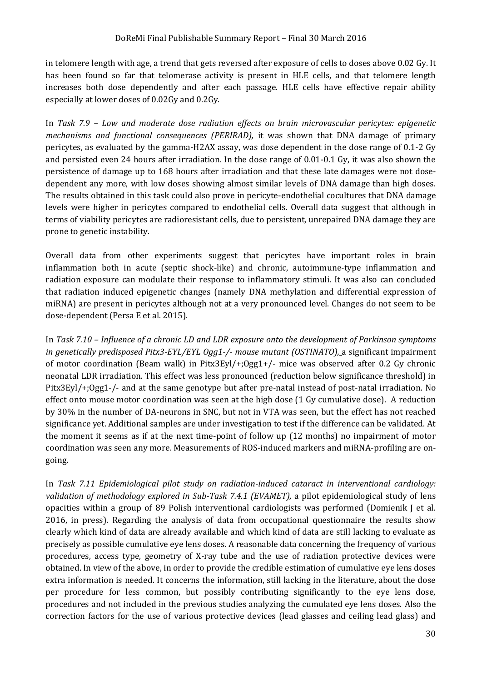in telomere length with age, a trend that gets reversed after exposure of cells to doses above 0.02 Gy. It has been found so far that telomerase activity is present in HLE cells, and that telomere length increases both dose dependently and after each passage. HLE cells have effective repair ability especially at lower doses of 0.02Gy and 0.2Gy.

In *Task 7.9 – Low and moderate dose radiation effects on brain microvascular pericytes: epigenetic mechanisms and functional consequences (PERIRAD),* it was shown that DNA damage of primary pericytes, as evaluated by the gamma-H2AX assay, was dose dependent in the dose range of 0.1-2 Gy and persisted even 24 hours after irradiation. In the dose range of 0.01-0.1 Gy, it was also shown the persistence of damage up to 168 hours after irradiation and that these late damages were not dosedependent any more, with low doses showing almost similar levels of DNA damage than high doses. The results obtained in this task could also prove in pericyte-endothelial cocultures that DNA damage levels were higher in pericytes compared to endothelial cells. Overall data suggest that although in terms of viability pericytes are radioresistant cells, due to persistent, unrepaired DNA damage they are prone to genetic instability.

Overall data from other experiments suggest that pericytes have important roles in brain inflammation both in acute (septic shock-like) and chronic, autoimmune-type inflammation and radiation exposure can modulate their response to inflammatory stimuli. It was also can concluded that radiation induced epigenetic changes (namely DNA methylation and differential expression of miRNA) are present in pericytes although not at a very pronounced level. Changes do not seem to be dose-dependent (Persa E et al. 2015).

In *Task 7.10 – Influence of a chronic LD and LDR exposure onto the development of Parkinson symptoms in genetically predisposed Pitx3-EYL/EYL Ogg1-/- mouse mutant (OSTINATO),* a significant impairment of motor coordination (Beam walk) in Pitx3Eyl/+;Ogg1+/- mice was observed after 0.2 Gy chronic neonatal LDR irradiation. This effect was less pronounced (reduction below significance threshold) in Pitx3Eyl/+;Ogg1-/- and at the same genotype but after pre-natal instead of post-natal irradiation. No effect onto mouse motor coordination was seen at the high dose (1 Gy cumulative dose). A reduction by 30% in the number of DA-neurons in SNC, but not in VTA was seen, but the effect has not reached significance yet. Additional samples are under investigation to test if the difference can be validated. At the moment it seems as if at the next time-point of follow up (12 months) no impairment of motor coordination was seen any more. Measurements of ROS-induced markers and miRNA-profiling are ongoing.

In *Task 7.11 Epidemiological pilot study on radiation-induced cataract in interventional cardiology: validation of methodology explored in Sub-Task 7.4.1 (EVAMET),* a pilot epidemiological study of lens opacities within a group of 89 Polish interventional cardiologists was performed (Domienik J et al. 2016, in press). Regarding the analysis of data from occupational questionnaire the results show clearly which kind of data are already available and which kind of data are still lacking to evaluate as precisely as possible cumulative eye lens doses. A reasonable data concerning the frequency of various procedures, access type, geometry of X-ray tube and the use of radiation protective devices were obtained. In view of the above, in order to provide the credible estimation of cumulative eye lens doses extra information is needed. It concerns the information, still lacking in the literature, about the dose per procedure for less common, but possibly contributing significantly to the eye lens dose, procedures and not included in the previous studies analyzing the cumulated eye lens doses. Also the correction factors for the use of various protective devices (lead glasses and ceiling lead glass) and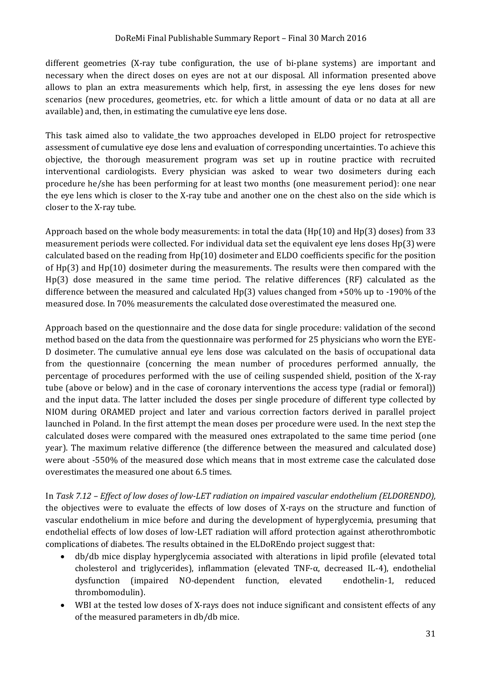different geometries (X-ray tube configuration, the use of bi-plane systems) are important and necessary when the direct doses on eyes are not at our disposal. All information presented above allows to plan an extra measurements which help, first, in assessing the eye lens doses for new scenarios (new procedures, geometries, etc. for which a little amount of data or no data at all are available) and, then, in estimating the cumulative eye lens dose.

This task aimed also to validate the two approaches developed in ELDO project for retrospective assessment of cumulative eye dose lens and evaluation of corresponding uncertainties. To achieve this objective, the thorough measurement program was set up in routine practice with recruited interventional cardiologists. Every physician was asked to wear two dosimeters during each procedure he/she has been performing for at least two months (one measurement period): one near the eye lens which is closer to the X-ray tube and another one on the chest also on the side which is closer to the X-ray tube.

Approach based on the whole body measurements: in total the data (Hp(10) and Hp(3) doses) from 33 measurement periods were collected. For individual data set the equivalent eye lens doses Hp(3) were calculated based on the reading from Hp(10) dosimeter and ELDO coefficients specific for the position of Hp(3) and Hp(10) dosimeter during the measurements. The results were then compared with the Hp(3) dose measured in the same time period. The relative differences (RF) calculated as the difference between the measured and calculated Hp(3) values changed from +50% up to -190% of the measured dose. In 70% measurements the calculated dose overestimated the measured one.

Approach based on the questionnaire and the dose data for single procedure: validation of the second method based on the data from the questionnaire was performed for 25 physicians who worn the EYE-D dosimeter. The cumulative annual eye lens dose was calculated on the basis of occupational data from the questionnaire (concerning the mean number of procedures performed annually, the percentage of procedures performed with the use of ceiling suspended shield, position of the X-ray tube (above or below) and in the case of coronary interventions the access type (radial or femoral)) and the input data. The latter included the doses per single procedure of different type collected by NIOM during ORAMED project and later and various correction factors derived in parallel project launched in Poland. In the first attempt the mean doses per procedure were used. In the next step the calculated doses were compared with the measured ones extrapolated to the same time period (one year). The maximum relative difference (the difference between the measured and calculated dose) were about -550% of the measured dose which means that in most extreme case the calculated dose overestimates the measured one about 6.5 times.

In *Task 7.12 – Effect of low doses of low-LET radiation on impaired vascular endothelium (ELDORENDO),* the objectives were to evaluate the effects of low doses of X-rays on the structure and function of vascular endothelium in mice before and during the development of hyperglycemia, presuming that endothelial effects of low doses of low-LET radiation will afford protection against atherothrombotic complications of diabetes. The results obtained in the ELDoREndo project suggest that:

- db/db mice display hyperglycemia associated with alterations in lipid profile (elevated total cholesterol and triglycerides), inflammation (elevated TNF-α, decreased IL-4), endothelial dysfunction (impaired NO-dependent function, elevated endothelin-1, reduced thrombomodulin).
- WBI at the tested low doses of X-rays does not induce significant and consistent effects of any of the measured parameters in db/db mice.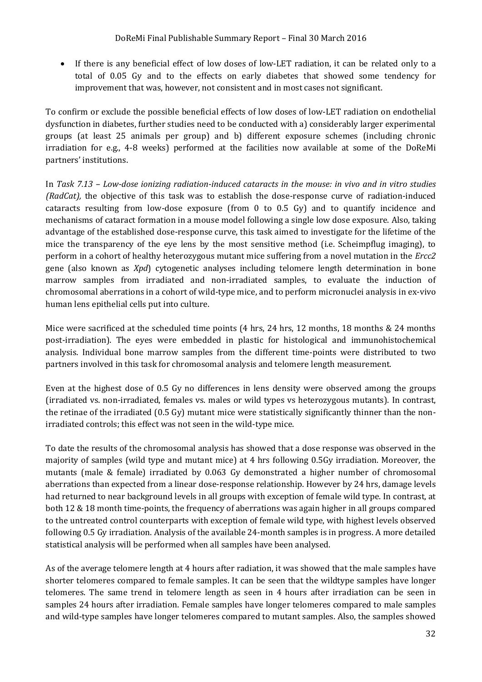If there is any beneficial effect of low doses of low-LET radiation, it can be related only to a total of 0.05 Gy and to the effects on early diabetes that showed some tendency for improvement that was, however, not consistent and in most cases not significant.

To confirm or exclude the possible beneficial effects of low doses of low-LET radiation on endothelial dysfunction in diabetes, further studies need to be conducted with a) considerably larger experimental groups (at least 25 animals per group) and b) different exposure schemes (including chronic irradiation for e.g., 4-8 weeks) performed at the facilities now available at some of the DoReMi partners' institutions.

In *Task 7.13 – Low-dose ionizing radiation-induced cataracts in the mouse: in vivo and in vitro studies (RadCat),* the objective of this task was to establish the dose-response curve of radiation-induced cataracts resulting from low-dose exposure (from 0 to 0.5 Gy) and to quantify incidence and mechanisms of cataract formation in a mouse model following a single low dose exposure. Also, taking advantage of the established dose-response curve, this task aimed to investigate for the lifetime of the mice the transparency of the eye lens by the most sensitive method (i.e. Scheimpflug imaging), to perform in a cohort of healthy heterozygous mutant mice suffering from a novel mutation in the *Ercc2* gene (also known as *Xpd*) cytogenetic analyses including telomere length determination in bone marrow samples from irradiated and non-irradiated samples, to evaluate the induction of chromosomal aberrations in a cohort of wild-type mice, and to perform micronuclei analysis in ex-vivo human lens epithelial cells put into culture.

Mice were sacrificed at the scheduled time points (4 hrs, 24 hrs, 12 months, 18 months & 24 months post-irradiation). The eyes were embedded in plastic for histological and immunohistochemical analysis. Individual bone marrow samples from the different time-points were distributed to two partners involved in this task for chromosomal analysis and telomere length measurement.

Even at the highest dose of 0.5 Gy no differences in lens density were observed among the groups (irradiated vs. non-irradiated, females vs. males or wild types vs heterozygous mutants). In contrast, the retinae of the irradiated (0.5 Gy) mutant mice were statistically significantly thinner than the nonirradiated controls; this effect was not seen in the wild-type mice.

To date the results of the chromosomal analysis has showed that a dose response was observed in the majority of samples (wild type and mutant mice) at 4 hrs following 0.5Gy irradiation. Moreover, the mutants (male & female) irradiated by 0.063 Gy demonstrated a higher number of chromosomal aberrations than expected from a linear dose-response relationship. However by 24 hrs, damage levels had returned to near background levels in all groups with exception of female wild type. In contrast, at both 12 & 18 month time-points, the frequency of aberrations was again higher in all groups compared to the untreated control counterparts with exception of female wild type, with highest levels observed following 0.5 Gy irradiation. Analysis of the available 24-month samples is in progress. A more detailed statistical analysis will be performed when all samples have been analysed.

As of the average telomere length at 4 hours after radiation, it was showed that the male samples have shorter telomeres compared to female samples. It can be seen that the wildtype samples have longer telomeres. The same trend in telomere length as seen in 4 hours after irradiation can be seen in samples 24 hours after irradiation. Female samples have longer telomeres compared to male samples and wild-type samples have longer telomeres compared to mutant samples. Also, the samples showed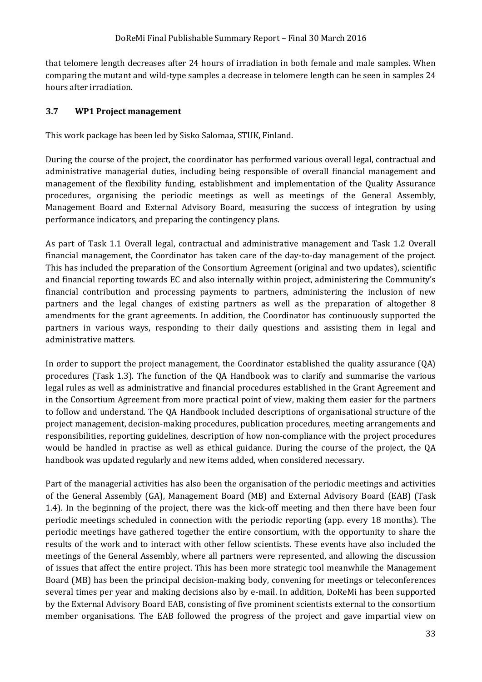that telomere length decreases after 24 hours of irradiation in both female and male samples. When comparing the mutant and wild-type samples a decrease in telomere length can be seen in samples 24 hours after irradiation.

#### <span id="page-32-0"></span>**3.7 WP1 Project management**

This work package has been led by Sisko Salomaa, STUK, Finland.

During the course of the project, the coordinator has performed various overall legal, contractual and administrative managerial duties, including being responsible of overall financial management and management of the flexibility funding, establishment and implementation of the Quality Assurance procedures, organising the periodic meetings as well as meetings of the General Assembly, Management Board and External Advisory Board, measuring the success of integration by using performance indicators, and preparing the contingency plans.

As part of Task 1.1 Overall legal, contractual and administrative management and Task 1.2 Overall financial management, the Coordinator has taken care of the day-to-day management of the project. This has included the preparation of the Consortium Agreement (original and two updates), scientific and financial reporting towards EC and also internally within project, administering the Community's financial contribution and processing payments to partners, administering the inclusion of new partners and the legal changes of existing partners as well as the preparation of altogether 8 amendments for the grant agreements. In addition, the Coordinator has continuously supported the partners in various ways, responding to their daily questions and assisting them in legal and administrative matters.

In order to support the project management, the Coordinator established the quality assurance (QA) procedures (Task 1.3). The function of the QA Handbook was to clarify and summarise the various legal rules as well as administrative and financial procedures established in the Grant Agreement and in the Consortium Agreement from more practical point of view, making them easier for the partners to follow and understand. The QA Handbook included descriptions of organisational structure of the project management, decision-making procedures, publication procedures, meeting arrangements and responsibilities, reporting guidelines, description of how non-compliance with the project procedures would be handled in practise as well as ethical guidance. During the course of the project, the QA handbook was updated regularly and new items added, when considered necessary.

Part of the managerial activities has also been the organisation of the periodic meetings and activities of the General Assembly (GA), Management Board (MB) and External Advisory Board (EAB) (Task 1.4). In the beginning of the project, there was the kick-off meeting and then there have been four periodic meetings scheduled in connection with the periodic reporting (app. every 18 months). The periodic meetings have gathered together the entire consortium, with the opportunity to share the results of the work and to interact with other fellow scientists. These events have also included the meetings of the General Assembly, where all partners were represented, and allowing the discussion of issues that affect the entire project. This has been more strategic tool meanwhile the Management Board (MB) has been the principal decision-making body, convening for meetings or teleconferences several times per year and making decisions also by e-mail. In addition, DoReMi has been supported by the External Advisory Board EAB, consisting of five prominent scientists external to the consortium member organisations. The EAB followed the progress of the project and gave impartial view on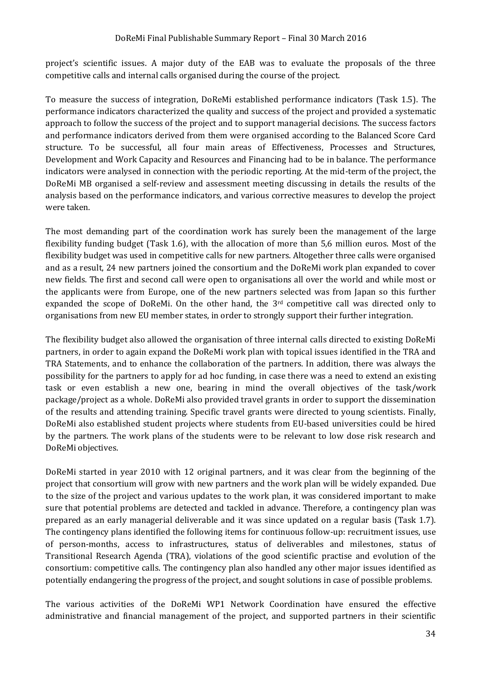project's scientific issues. A major duty of the EAB was to evaluate the proposals of the three competitive calls and internal calls organised during the course of the project.

To measure the success of integration, DoReMi established performance indicators (Task 1.5). The performance indicators characterized the quality and success of the project and provided a systematic approach to follow the success of the project and to support managerial decisions. The success factors and performance indicators derived from them were organised according to the Balanced Score Card structure. To be successful, all four main areas of Effectiveness, Processes and Structures, Development and Work Capacity and Resources and Financing had to be in balance. The performance indicators were analysed in connection with the periodic reporting. At the mid-term of the project, the DoReMi MB organised a self-review and assessment meeting discussing in details the results of the analysis based on the performance indicators, and various corrective measures to develop the project were taken.

The most demanding part of the coordination work has surely been the management of the large flexibility funding budget (Task 1.6), with the allocation of more than 5,6 million euros. Most of the flexibility budget was used in competitive calls for new partners. Altogether three calls were organised and as a result, 24 new partners joined the consortium and the DoReMi work plan expanded to cover new fields. The first and second call were open to organisations all over the world and while most or the applicants were from Europe, one of the new partners selected was from Japan so this further expanded the scope of DoReMi. On the other hand, the 3rd competitive call was directed only to organisations from new EU member states, in order to strongly support their further integration.

The flexibility budget also allowed the organisation of three internal calls directed to existing DoReMi partners, in order to again expand the DoReMi work plan with topical issues identified in the TRA and TRA Statements, and to enhance the collaboration of the partners. In addition, there was always the possibility for the partners to apply for ad hoc funding, in case there was a need to extend an existing task or even establish a new one, bearing in mind the overall objectives of the task/work package/project as a whole. DoReMi also provided travel grants in order to support the dissemination of the results and attending training. Specific travel grants were directed to young scientists. Finally, DoReMi also established student projects where students from EU-based universities could be hired by the partners. The work plans of the students were to be relevant to low dose risk research and DoReMi objectives.

DoReMi started in year 2010 with 12 original partners, and it was clear from the beginning of the project that consortium will grow with new partners and the work plan will be widely expanded. Due to the size of the project and various updates to the work plan, it was considered important to make sure that potential problems are detected and tackled in advance. Therefore, a contingency plan was prepared as an early managerial deliverable and it was since updated on a regular basis (Task 1.7). The contingency plans identified the following items for continuous follow-up: recruitment issues, use of person-months, access to infrastructures, status of deliverables and milestones, status of Transitional Research Agenda (TRA), violations of the good scientific practise and evolution of the consortium: competitive calls. The contingency plan also handled any other major issues identified as potentially endangering the progress of the project, and sought solutions in case of possible problems.

The various activities of the DoReMi WP1 Network Coordination have ensured the effective administrative and financial management of the project, and supported partners in their scientific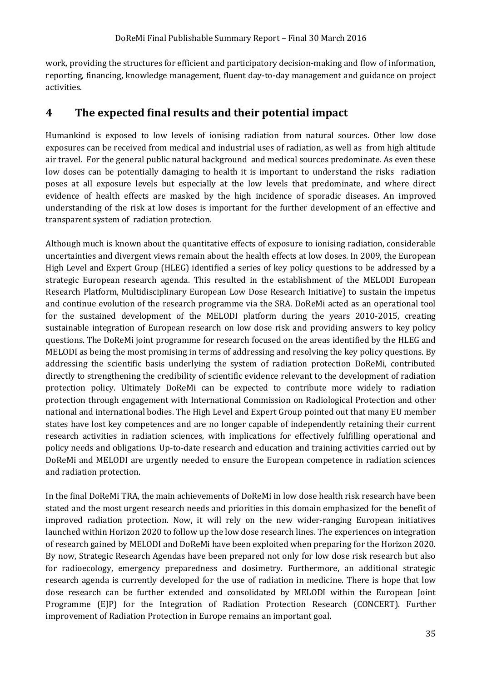work, providing the structures for efficient and participatory decision-making and flow of information, reporting, financing, knowledge management, fluent day-to-day management and guidance on project activities.

### <span id="page-34-0"></span>**4 The expected final results and their potential impact**

Humankind is exposed to low levels of ionising radiation from natural sources. Other low dose exposures can be received from medical and industrial uses of radiation, as well as from high altitude air travel. For the general public natural background and medical sources predominate. As even these low doses can be potentially damaging to health it is important to understand the risks radiation poses at all exposure levels but especially at the low levels that predominate, and where direct evidence of health effects are masked by the high incidence of sporadic diseases. An improved understanding of the risk at low doses is important for the further development of an effective and transparent system of radiation protection.

Although much is known about the quantitative effects of exposure to ionising radiation, considerable uncertainties and divergent views remain about the health effects at low doses. In 2009, the European High Level and Expert Group (HLEG) identified a series of key policy questions to be addressed by a strategic European research agenda. This resulted in the establishment of the MELODI European Research Platform, Multidisciplinary European Low Dose Research Initiative) to sustain the impetus and continue evolution of the research programme via the SRA. DoReMi acted as an operational tool for the sustained development of the MELODI platform during the years 2010-2015, creating sustainable integration of European research on low dose risk and providing answers to key policy questions. The DoReMi joint programme for research focused on the areas identified by the HLEG and MELODI as being the most promising in terms of addressing and resolving the key policy questions. By addressing the scientific basis underlying the system of radiation protection DoReMi, contributed directly to strengthening the credibility of scientific evidence relevant to the development of radiation protection policy. Ultimately DoReMi can be expected to contribute more widely to radiation protection through engagement with International Commission on Radiological Protection and other national and international bodies. The High Level and Expert Group pointed out that many EU member states have lost key competences and are no longer capable of independently retaining their current research activities in radiation sciences, with implications for effectively fulfilling operational and policy needs and obligations. Up-to-date research and education and training activities carried out by DoReMi and MELODI are urgently needed to ensure the European competence in radiation sciences and radiation protection.

In the final DoReMi TRA, the main achievements of DoReMi in low dose health risk research have been stated and the most urgent research needs and priorities in this domain emphasized for the benefit of improved radiation protection. Now, it will rely on the new wider-ranging European initiatives launched within Horizon 2020 to follow up the low dose research lines. The experiences on integration of research gained by MELODI and DoReMi have been exploited when preparing for the Horizon 2020. By now, Strategic Research Agendas have been prepared not only for low dose risk research but also for radioecology, emergency preparedness and dosimetry. Furthermore, an additional strategic research agenda is currently developed for the use of radiation in medicine. There is hope that low dose research can be further extended and consolidated by MELODI within the European Joint Programme (EJP) for the Integration of Radiation Protection Research (CONCERT). Further improvement of Radiation Protection in Europe remains an important goal.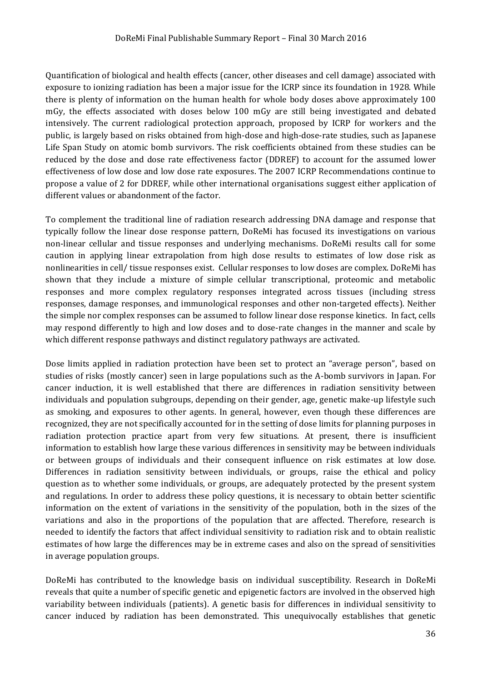Quantification of biological and health effects (cancer, other diseases and cell damage) associated with exposure to ionizing radiation has been a major issue for the ICRP since its foundation in 1928. While there is plenty of information on the human health for whole body doses above approximately 100 mGy, the effects associated with doses below 100 mGy are still being investigated and debated intensively. The current radiological protection approach, proposed by ICRP for workers and the public, is largely based on risks obtained from high-dose and high-dose-rate studies, such as Japanese Life Span Study on atomic bomb survivors. The risk coefficients obtained from these studies can be reduced by the dose and dose rate effectiveness factor (DDREF) to account for the assumed lower effectiveness of low dose and low dose rate exposures. The 2007 ICRP Recommendations continue to propose a value of 2 for DDREF, while other international organisations suggest either application of different values or abandonment of the factor.

To complement the traditional line of radiation research addressing DNA damage and response that typically follow the linear dose response pattern, DoReMi has focused its investigations on various non-linear cellular and tissue responses and underlying mechanisms. DoReMi results call for some caution in applying linear extrapolation from high dose results to estimates of low dose risk as nonlinearities in cell/ tissue responses exist. Cellular responses to low doses are complex. DoReMi has shown that they include a mixture of simple cellular transcriptional, proteomic and metabolic responses and more complex regulatory responses integrated across tissues (including stress responses, damage responses, and immunological responses and other non-targeted effects). Neither the simple nor complex responses can be assumed to follow linear dose response kinetics. In fact, cells may respond differently to high and low doses and to dose-rate changes in the manner and scale by which different response pathways and distinct regulatory pathways are activated.

Dose limits applied in radiation protection have been set to protect an "average person", based on studies of risks (mostly cancer) seen in large populations such as the A-bomb survivors in Japan. For cancer induction, it is well established that there are differences in radiation sensitivity between individuals and population subgroups, depending on their gender, age, genetic make-up lifestyle such as smoking, and exposures to other agents. In general, however, even though these differences are recognized, they are not specifically accounted for in the setting of dose limits for planning purposes in radiation protection practice apart from very few situations. At present, there is insufficient information to establish how large these various differences in sensitivity may be between individuals or between groups of individuals and their consequent influence on risk estimates at low dose. Differences in radiation sensitivity between individuals, or groups, raise the ethical and policy question as to whether some individuals, or groups, are adequately protected by the present system and regulations. In order to address these policy questions, it is necessary to obtain better scientific information on the extent of variations in the sensitivity of the population, both in the sizes of the variations and also in the proportions of the population that are affected. Therefore, research is needed to identify the factors that affect individual sensitivity to radiation risk and to obtain realistic estimates of how large the differences may be in extreme cases and also on the spread of sensitivities in average population groups.

DoReMi has contributed to the knowledge basis on individual susceptibility. Research in DoReMi reveals that quite a number of specific genetic and epigenetic factors are involved in the observed high variability between individuals (patients). A genetic basis for differences in individual sensitivity to cancer induced by radiation has been demonstrated. This unequivocally establishes that genetic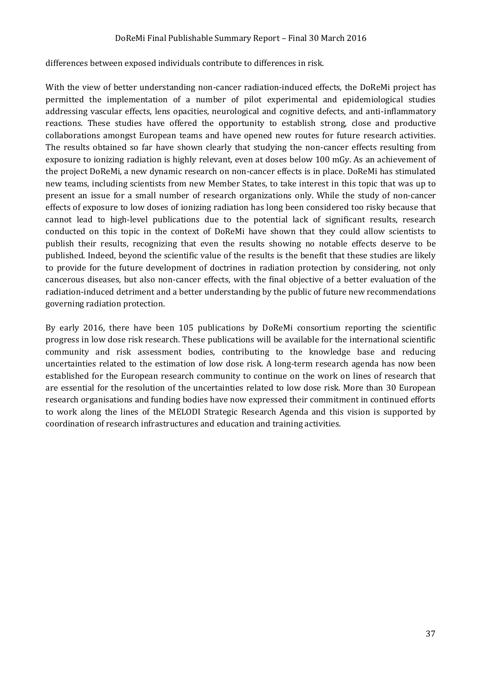differences between exposed individuals contribute to differences in risk.

With the view of better understanding non-cancer radiation-induced effects, the DoReMi project has permitted the implementation of a number of pilot experimental and epidemiological studies addressing vascular effects, lens opacities, neurological and cognitive defects, and anti-inflammatory reactions. These studies have offered the opportunity to establish strong, close and productive collaborations amongst European teams and have opened new routes for future research activities. The results obtained so far have shown clearly that studying the non-cancer effects resulting from exposure to ionizing radiation is highly relevant, even at doses below 100 mGy. As an achievement of the project DoReMi, a new dynamic research on non-cancer effects is in place. DoReMi has stimulated new teams, including scientists from new Member States, to take interest in this topic that was up to present an issue for a small number of research organizations only. While the study of non-cancer effects of exposure to low doses of ionizing radiation has long been considered too risky because that cannot lead to high-level publications due to the potential lack of significant results, research conducted on this topic in the context of DoReMi have shown that they could allow scientists to publish their results, recognizing that even the results showing no notable effects deserve to be published. Indeed, beyond the scientific value of the results is the benefit that these studies are likely to provide for the future development of doctrines in radiation protection by considering, not only cancerous diseases, but also non-cancer effects, with the final objective of a better evaluation of the radiation-induced detriment and a better understanding by the public of future new recommendations governing radiation protection.

By early 2016, there have been 105 publications by DoReMi consortium reporting the scientific progress in low dose risk research. These publications will be available for the international scientific community and risk assessment bodies, contributing to the knowledge base and reducing uncertainties related to the estimation of low dose risk. A long-term research agenda has now been established for the European research community to continue on the work on lines of research that are essential for the resolution of the uncertainties related to low dose risk. More than 30 European research organisations and funding bodies have now expressed their commitment in continued efforts to work along the lines of the MELODI Strategic Research Agenda and this vision is supported by coordination of research infrastructures and education and training activities.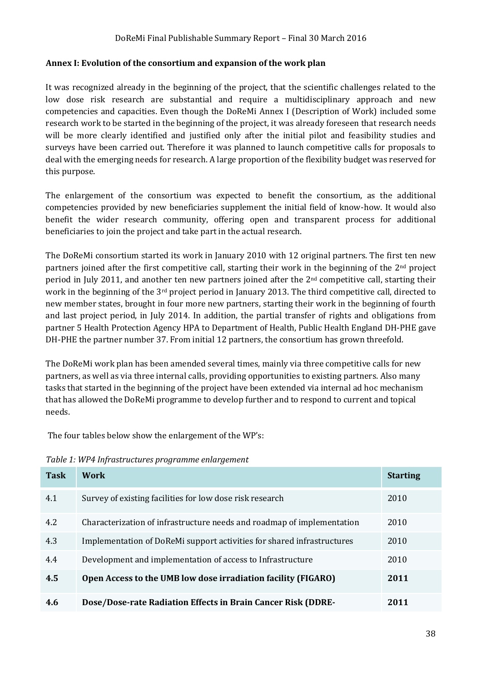#### <span id="page-37-0"></span>**Annex I: Evolution of the consortium and expansion of the work plan**

It was recognized already in the beginning of the project, that the scientific challenges related to the low dose risk research are substantial and require a multidisciplinary approach and new competencies and capacities. Even though the DoReMi Annex I (Description of Work) included some research work to be started in the beginning of the project, it was already foreseen that research needs will be more clearly identified and justified only after the initial pilot and feasibility studies and surveys have been carried out. Therefore it was planned to launch competitive calls for proposals to deal with the emerging needs for research. A large proportion of the flexibility budget was reserved for this purpose.

The enlargement of the consortium was expected to benefit the consortium, as the additional competencies provided by new beneficiaries supplement the initial field of know-how. It would also benefit the wider research community, offering open and transparent process for additional beneficiaries to join the project and take part in the actual research.

The DoReMi consortium started its work in January 2010 with 12 original partners. The first ten new partners joined after the first competitive call, starting their work in the beginning of the  $2<sup>nd</sup>$  project period in July 2011, and another ten new partners joined after the 2nd competitive call, starting their work in the beginning of the 3rd project period in January 2013. The third competitive call, directed to new member states, brought in four more new partners, starting their work in the beginning of fourth and last project period, in July 2014. In addition, the partial transfer of rights and obligations from partner 5 Health Protection Agency HPA to Department of Health, Public Health England DH-PHE gave DH-PHE the partner number 37. From initial 12 partners, the consortium has grown threefold.

The DoReMi work plan has been amended several times, mainly via three competitive calls for new partners, as well as via three internal calls, providing opportunities to existing partners. Also many tasks that started in the beginning of the project have been extended via internal ad hoc mechanism that has allowed the DoReMi programme to develop further and to respond to current and topical needs.

The four tables below show the enlargement of the WP's:

| <b>Task</b> | <b>Work</b>                                                            | <b>Starting</b> |
|-------------|------------------------------------------------------------------------|-----------------|
| 4.1         | Survey of existing facilities for low dose risk research               | 2010            |
| 4.2         | Characterization of infrastructure needs and roadmap of implementation | 2010            |
| 4.3         | Implementation of DoReMi support activities for shared infrastructures | 2010            |
| 4.4         | Development and implementation of access to Infrastructure             | 2010            |
| 4.5         | Open Access to the UMB low dose irradiation facility (FIGARO)          | 2011            |
| 4.6         | Dose/Dose-rate Radiation Effects in Brain Cancer Risk (DDRE-           | 2011            |

*Table 1: WP4 Infrastructures programme enlargement*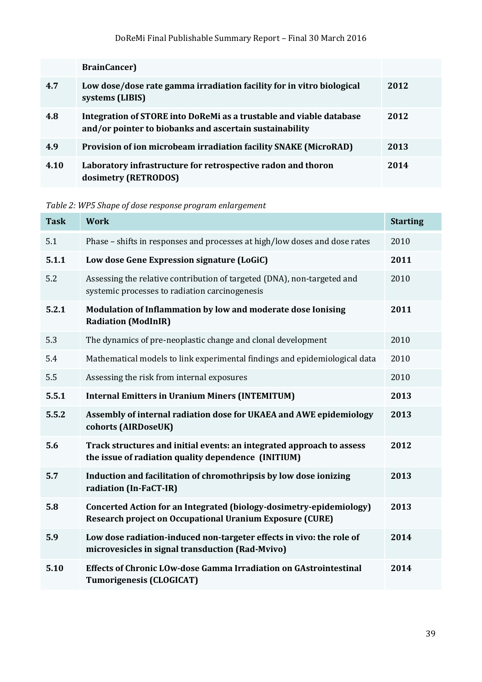|      | <b>BrainCancer</b> )                                                                                                           |      |
|------|--------------------------------------------------------------------------------------------------------------------------------|------|
| 4.7  | Low dose/dose rate gamma irradiation facility for in vitro biological<br>systems (LIBIS)                                       | 2012 |
| 4.8  | Integration of STORE into DoReMi as a trustable and viable database<br>and/or pointer to biobanks and ascertain sustainability | 2012 |
| 4.9  | <b>Provision of ion microbeam irradiation facility SNAKE (MicroRAD)</b>                                                        | 2013 |
| 4.10 | Laboratory infrastructure for retrospective radon and thoron<br>dosimetry (RETRODOS)                                           | 2014 |

*Table 2: WP5 Shape of dose response program enlargement*

| <b>Task</b> | <b>Work</b>                                                                                                                            | <b>Starting</b> |
|-------------|----------------------------------------------------------------------------------------------------------------------------------------|-----------------|
| 5.1         | Phase – shifts in responses and processes at high/low doses and dose rates                                                             | 2010            |
| 5.1.1       | Low dose Gene Expression signature (LoGiC)                                                                                             | 2011            |
| 5.2         | Assessing the relative contribution of targeted (DNA), non-targeted and<br>systemic processes to radiation carcinogenesis              | 2010            |
| 5.2.1       | Modulation of Inflammation by low and moderate dose Ionising<br><b>Radiation (ModInIR)</b>                                             | 2011            |
| 5.3         | The dynamics of pre-neoplastic change and clonal development                                                                           | 2010            |
| 5.4         | Mathematical models to link experimental findings and epidemiological data                                                             | 2010            |
| 5.5         | Assessing the risk from internal exposures                                                                                             | 2010            |
| 5.5.1       | <b>Internal Emitters in Uranium Miners (INTEMITUM)</b>                                                                                 | 2013            |
| 5.5.2       | Assembly of internal radiation dose for UKAEA and AWE epidemiology<br>cohorts (AIRDoseUK)                                              | 2013            |
| 5.6         | Track structures and initial events: an integrated approach to assess<br>the issue of radiation quality dependence (INITIUM)           | 2012            |
| 5.7         | Induction and facilitation of chromothripsis by low dose ionizing<br>radiation (In-FaCT-IR)                                            | 2013            |
| 5.8         | Concerted Action for an Integrated (biology-dosimetry-epidemiology)<br><b>Research project on Occupational Uranium Exposure (CURE)</b> | 2013            |
| 5.9         | Low dose radiation-induced non-targeter effects in vivo: the role of<br>microvesicles in signal transduction (Rad-Mvivo)               | 2014            |
| 5.10        | Effects of Chronic LOw-dose Gamma Irradiation on GAstrointestinal<br><b>Tumorigenesis (CLOGICAT)</b>                                   | 2014            |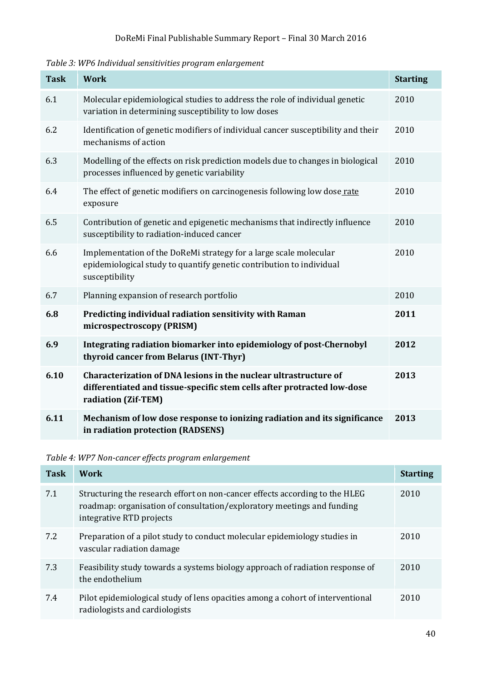*Table 3: WP6 Individual sensitivities program enlargement*

| <b>Task</b> | <b>Work</b>                                                                                                                                                        | <b>Starting</b> |
|-------------|--------------------------------------------------------------------------------------------------------------------------------------------------------------------|-----------------|
| 6.1         | Molecular epidemiological studies to address the role of individual genetic<br>variation in determining susceptibility to low doses                                | 2010            |
| 6.2         | Identification of genetic modifiers of individual cancer susceptibility and their<br>mechanisms of action                                                          | 2010            |
| 6.3         | Modelling of the effects on risk prediction models due to changes in biological<br>processes influenced by genetic variability                                     | 2010            |
| 6.4         | The effect of genetic modifiers on carcinogenesis following low dose rate<br>exposure                                                                              | 2010            |
| 6.5         | Contribution of genetic and epigenetic mechanisms that indirectly influence<br>susceptibility to radiation-induced cancer                                          | 2010            |
| 6.6         | Implementation of the DoReMi strategy for a large scale molecular<br>epidemiological study to quantify genetic contribution to individual<br>susceptibility        | 2010            |
| 6.7         | Planning expansion of research portfolio                                                                                                                           | 2010            |
| 6.8         | Predicting individual radiation sensitivity with Raman<br>microspectroscopy (PRISM)                                                                                | 2011            |
| 6.9         | Integrating radiation biomarker into epidemiology of post-Chernobyl<br>thyroid cancer from Belarus (INT-Thyr)                                                      | 2012            |
| 6.10        | Characterization of DNA lesions in the nuclear ultrastructure of<br>differentiated and tissue-specific stem cells after protracted low-dose<br>radiation (Zif-TEM) | 2013            |
| 6.11        | Mechanism of low dose response to ionizing radiation and its significance<br>in radiation protection (RADSENS)                                                     | 2013            |

*Table 4: WP7 Non-cancer effects program enlargement*

| <b>Task</b> | Work                                                                                                                                                                              | <b>Starting</b> |
|-------------|-----------------------------------------------------------------------------------------------------------------------------------------------------------------------------------|-----------------|
| 7.1         | Structuring the research effort on non-cancer effects according to the HLEG<br>roadmap: organisation of consultation/exploratory meetings and funding<br>integrative RTD projects | 2010            |
| 7.2         | Preparation of a pilot study to conduct molecular epidemiology studies in<br>vascular radiation damage                                                                            | 2010            |
| 7.3         | Feasibility study towards a systems biology approach of radiation response of<br>the endothelium                                                                                  | 2010            |
| 7.4         | Pilot epidemiological study of lens opacities among a cohort of interventional<br>radiologists and cardiologists                                                                  | 2010            |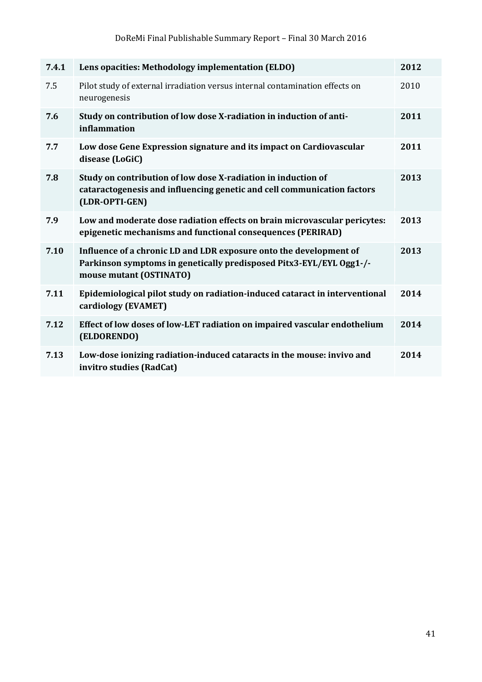| 7.4.1 | Lens opacities: Methodology implementation (ELDO)                                                                                                                    | 2012 |
|-------|----------------------------------------------------------------------------------------------------------------------------------------------------------------------|------|
| 7.5   | Pilot study of external irradiation versus internal contamination effects on<br>neurogenesis                                                                         | 2010 |
| 7.6   | Study on contribution of low dose X-radiation in induction of anti-<br>inflammation                                                                                  | 2011 |
| 7.7   | Low dose Gene Expression signature and its impact on Cardiovascular<br>disease (LoGiC)                                                                               | 2011 |
| 7.8   | Study on contribution of low dose X-radiation in induction of<br>cataractogenesis and influencing genetic and cell communication factors<br>(LDR-OPTI-GEN)           | 2013 |
| 7.9   | Low and moderate dose radiation effects on brain microvascular pericytes:<br>epigenetic mechanisms and functional consequences (PERIRAD)                             | 2013 |
| 7.10  | Influence of a chronic LD and LDR exposure onto the development of<br>Parkinson symptoms in genetically predisposed Pitx3-EYL/EYL Ogg1-/-<br>mouse mutant (OSTINATO) | 2013 |
| 7.11  | Epidemiological pilot study on radiation-induced cataract in interventional<br>cardiology (EVAMET)                                                                   | 2014 |
| 7.12  | Effect of low doses of low-LET radiation on impaired vascular endothelium<br>(ELDORENDO)                                                                             | 2014 |
| 7.13  | Low-dose ionizing radiation-induced cataracts in the mouse: invivo and<br>invitro studies (RadCat)                                                                   | 2014 |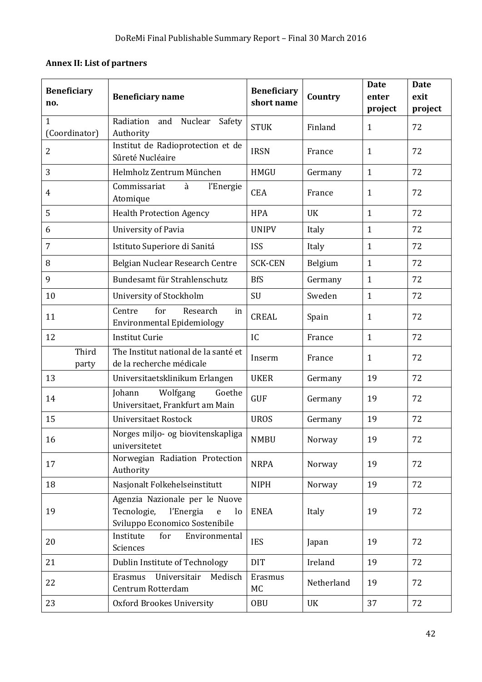## <span id="page-41-0"></span>**Annex II: List of partners**

| <b>Beneficiary</b><br>no.     | <b>Beneficiary name</b>                                                                                                | <b>Beneficiary</b><br>short name | Country    | <b>Date</b><br>enter<br>project | <b>Date</b><br>exit<br>project |
|-------------------------------|------------------------------------------------------------------------------------------------------------------------|----------------------------------|------------|---------------------------------|--------------------------------|
| $\mathbf{1}$<br>(Coordinator) | Nuclear<br>Radiation<br>and<br>Safety<br>Authority                                                                     | <b>STUK</b>                      | Finland    | $\mathbf{1}$                    | 72                             |
| $\overline{2}$                | Institut de Radioprotection et de<br>Sûreté Nucléaire                                                                  | <b>IRSN</b>                      | France     | $\mathbf{1}$                    | 72                             |
| 3                             | Helmholz Zentrum München                                                                                               | <b>HMGU</b>                      | Germany    | $\mathbf{1}$                    | 72                             |
| 4                             | Commissariat<br>à<br>l'Energie<br>Atomique                                                                             | <b>CEA</b>                       | France     | $\mathbf{1}$                    | 72                             |
| 5                             | <b>Health Protection Agency</b>                                                                                        | <b>HPA</b>                       | <b>UK</b>  | $\mathbf{1}$                    | 72                             |
| 6                             | University of Pavia                                                                                                    | <b>UNIPV</b>                     | Italy      | $\mathbf{1}$                    | 72                             |
| $\overline{7}$                | Istituto Superiore di Sanitá                                                                                           | <b>ISS</b>                       | Italy      | $\mathbf{1}$                    | 72                             |
| 8                             | Belgian Nuclear Research Centre                                                                                        | <b>SCK-CEN</b>                   | Belgium    | $\mathbf{1}$                    | 72                             |
| 9                             | Bundesamt für Strahlenschutz                                                                                           | <b>BfS</b>                       | Germany    | $\mathbf{1}$                    | 72                             |
| 10                            | University of Stockholm                                                                                                | SU                               | Sweden     | $\mathbf{1}$                    | 72                             |
| 11                            | for<br>Research<br>Centre<br>in<br><b>Environmental Epidemiology</b>                                                   | <b>CREAL</b>                     | Spain      | $\mathbf{1}$                    | 72                             |
| 12                            | <b>Institut Curie</b>                                                                                                  | IC                               | France     | $\mathbf{1}$                    | 72                             |
| Third<br>party                | The Institut national de la santé et<br>de la recherche médicale                                                       | Inserm                           | France     | $\mathbf{1}$                    | 72                             |
| 13                            | Universitaetsklinikum Erlangen                                                                                         | <b>UKER</b>                      | Germany    | 19                              | 72                             |
| 14                            | Johann<br>Wolfgang<br>Goethe<br>Universitaet, Frankfurt am Main                                                        | <b>GUF</b>                       | Germany    | 19                              | 72                             |
| 15                            | Universitaet Rostock                                                                                                   | <b>UROS</b>                      | Germany    | 19                              | 72                             |
| 16                            | Norges miljo- og biovitenskapliga<br>universitetet                                                                     | <b>NMBU</b>                      | Norway     | 19                              | 72                             |
| 17                            | Norwegian Radiation Protection<br>Authority                                                                            | <b>NRPA</b>                      | Norway     | 19                              | 72                             |
| 18                            | Nasjonalt Folkehelseinstitutt                                                                                          | <b>NIPH</b>                      | Norway     | 19                              | 72                             |
| 19                            | Agenzia Nazionale per le Nuove<br>Tecnologie,<br>l'Energia<br>$\mathbf{e}$<br>$\log$<br>Sviluppo Economico Sostenibile | <b>ENEA</b>                      | Italy      | 19                              | 72                             |
| 20                            | Institute<br>Environmental<br>for<br>Sciences                                                                          | <b>IES</b>                       | Japan      | 19                              | 72                             |
| 21                            | Dublin Institute of Technology                                                                                         | <b>DIT</b>                       | Ireland    | 19                              | 72                             |
| 22                            | Universitair<br>Medisch<br>Erasmus<br>Centrum Rotterdam                                                                | Erasmus<br>MC                    | Netherland | 19                              | 72                             |
| 23                            | <b>Oxford Brookes University</b>                                                                                       | <b>OBU</b>                       | <b>UK</b>  | 37                              | 72                             |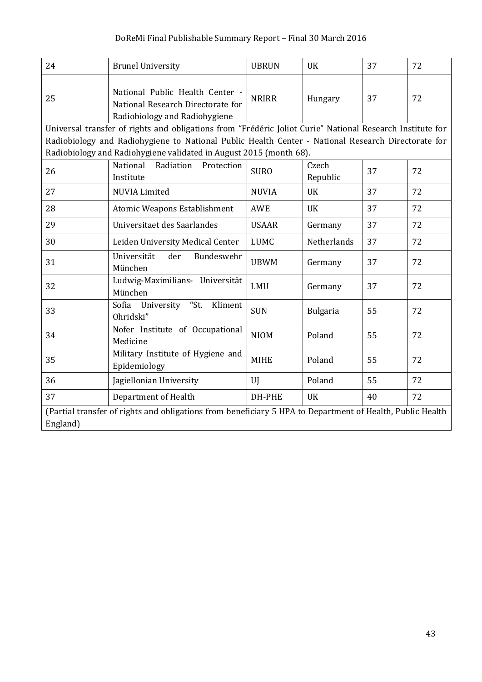| 24                                                                                                        | <b>Brunel University</b>                                                                                                                                                 | <b>UBRUN</b> | <b>UK</b>         | 37 | 72 |
|-----------------------------------------------------------------------------------------------------------|--------------------------------------------------------------------------------------------------------------------------------------------------------------------------|--------------|-------------------|----|----|
| 25                                                                                                        | National Public Health Center -<br>National Research Directorate for<br>Radiobiology and Radiohygiene                                                                    | <b>NRIRR</b> | Hungary           | 37 | 72 |
|                                                                                                           | Universal transfer of rights and obligations from "Frédéric Joliot Curie" National Research Institute for                                                                |              |                   |    |    |
|                                                                                                           | Radiobiology and Radiohygiene to National Public Health Center - National Research Directorate for<br>Radiobiology and Radiohygiene validated in August 2015 (month 68). |              |                   |    |    |
| 26                                                                                                        | National<br>Radiation<br>Protection<br>Institute                                                                                                                         | <b>SURO</b>  | Czech<br>Republic | 37 | 72 |
| 27                                                                                                        | <b>NUVIA Limited</b>                                                                                                                                                     | <b>NUVIA</b> | <b>UK</b>         | 37 | 72 |
| 28                                                                                                        | Atomic Weapons Establishment                                                                                                                                             | <b>AWE</b>   | <b>UK</b>         | 37 | 72 |
| 29                                                                                                        | Universitaet des Saarlandes                                                                                                                                              | <b>USAAR</b> | Germany           | 37 | 72 |
| 30                                                                                                        | Leiden University Medical Center                                                                                                                                         | <b>LUMC</b>  | Netherlands       | 37 | 72 |
| 31                                                                                                        | Universität<br>der<br>Bundeswehr<br>München                                                                                                                              | <b>UBWM</b>  | Germany           | 37 | 72 |
| 32                                                                                                        | Ludwig-Maximilians- Universität<br>München                                                                                                                               | LMU          | Germany           | 37 | 72 |
| 33                                                                                                        | Sofia University "St.<br>Kliment<br>Ohridski"                                                                                                                            | <b>SUN</b>   | <b>Bulgaria</b>   | 55 | 72 |
| 34                                                                                                        | Nofer Institute of Occupational<br>Medicine                                                                                                                              | <b>NIOM</b>  | Poland            | 55 | 72 |
| 35                                                                                                        | Military Institute of Hygiene and<br>Epidemiology                                                                                                                        | <b>MIHE</b>  | Poland            | 55 | 72 |
| 36                                                                                                        | Jagiellonian University                                                                                                                                                  | UI           | Poland            | 55 | 72 |
| 37                                                                                                        | Department of Health                                                                                                                                                     | DH-PHE       | <b>UK</b>         | 40 | 72 |
| (Partial transfer of rights and obligations from beneficiary 5 HPA to Department of Health, Public Health |                                                                                                                                                                          |              |                   |    |    |
| England)                                                                                                  |                                                                                                                                                                          |              |                   |    |    |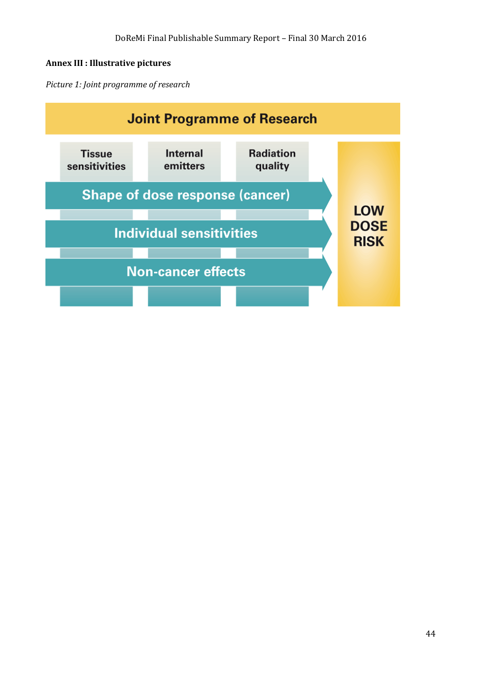#### <span id="page-43-0"></span>**Annex III : Illustrative pictures**

*Picture 1: Joint programme of research*

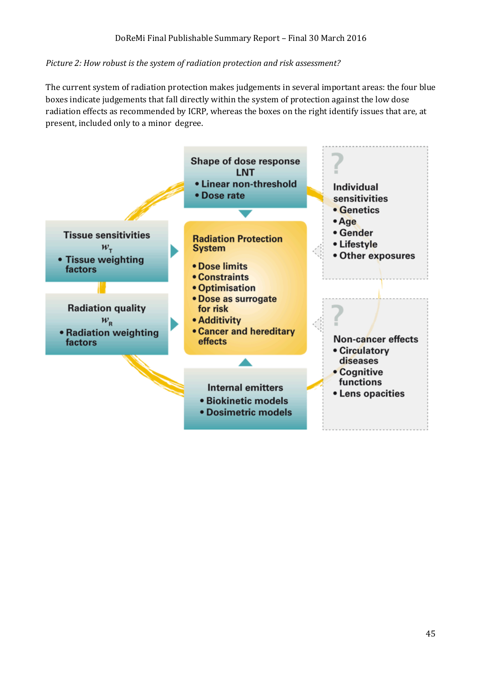#### *Picture 2: How robust is the system of radiation protection and risk assessment?*

The current system of radiation protection makes judgements in several important areas: the four blue boxes indicate judgements that fall directly within the system of protection against the low dose radiation effects as recommended by ICRP, whereas the boxes on the right identify issues that are, at present, included only to a minor degree.